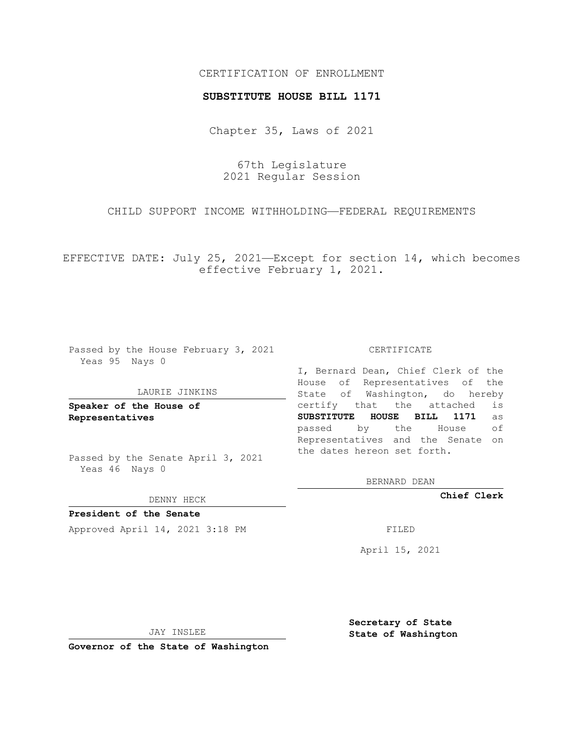## CERTIFICATION OF ENROLLMENT

## **SUBSTITUTE HOUSE BILL 1171**

Chapter 35, Laws of 2021

67th Legislature 2021 Regular Session

CHILD SUPPORT INCOME WITHHOLDING—FEDERAL REQUIREMENTS

EFFECTIVE DATE: July 25, 2021—Except for section 14, which becomes effective February 1, 2021.

Passed by the House February 3, 2021 Yeas 95 Nays 0

## LAURIE JINKINS

**Speaker of the House of Representatives**

Passed by the Senate April 3, 2021 Yeas 46 Nays 0

DENNY HECK

**President of the Senate** Approved April 14, 2021 3:18 PM

CERTIFICATE

I, Bernard Dean, Chief Clerk of the House of Representatives of the State of Washington, do hereby certify that the attached is **SUBSTITUTE HOUSE BILL 1171** as passed by the House of Representatives and the Senate on the dates hereon set forth.

BERNARD DEAN

**Chief Clerk**

April 15, 2021

JAY INSLEE

**Governor of the State of Washington**

**Secretary of State State of Washington**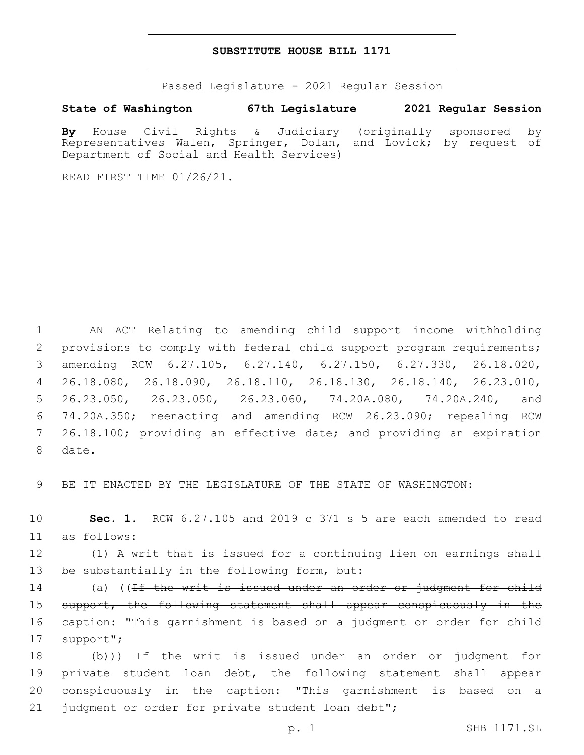## **SUBSTITUTE HOUSE BILL 1171**

Passed Legislature - 2021 Regular Session

**State of Washington 67th Legislature 2021 Regular Session**

**By** House Civil Rights & Judiciary (originally sponsored by Representatives Walen, Springer, Dolan, and Lovick; by request of Department of Social and Health Services)

READ FIRST TIME 01/26/21.

 AN ACT Relating to amending child support income withholding 2 provisions to comply with federal child support program requirements; amending RCW 6.27.105, 6.27.140, 6.27.150, 6.27.330, 26.18.020, 26.18.080, 26.18.090, 26.18.110, 26.18.130, 26.18.140, 26.23.010, 26.23.050, 26.23.050, 26.23.060, 74.20A.080, 74.20A.240, and 74.20A.350; reenacting and amending RCW 26.23.090; repealing RCW 26.18.100; providing an effective date; and providing an expiration 8 date.

9 BE IT ENACTED BY THE LEGISLATURE OF THE STATE OF WASHINGTON:

10 **Sec. 1.** RCW 6.27.105 and 2019 c 371 s 5 are each amended to read as follows:11

12 (1) A writ that is issued for a continuing lien on earnings shall 13 be substantially in the following form, but:

14 (a) ((<del>If the writ is issued under an order or judgment for child</del> 15 support, the following statement shall appear conspicuously in the 16 caption: "This garnishment is based on a judgment or order for child 17 support";

18 (b)) If the writ is issued under an order or judgment for 19 private student loan debt, the following statement shall appear 20 conspicuously in the caption: "This garnishment is based on a 21 judgment or order for private student loan debt";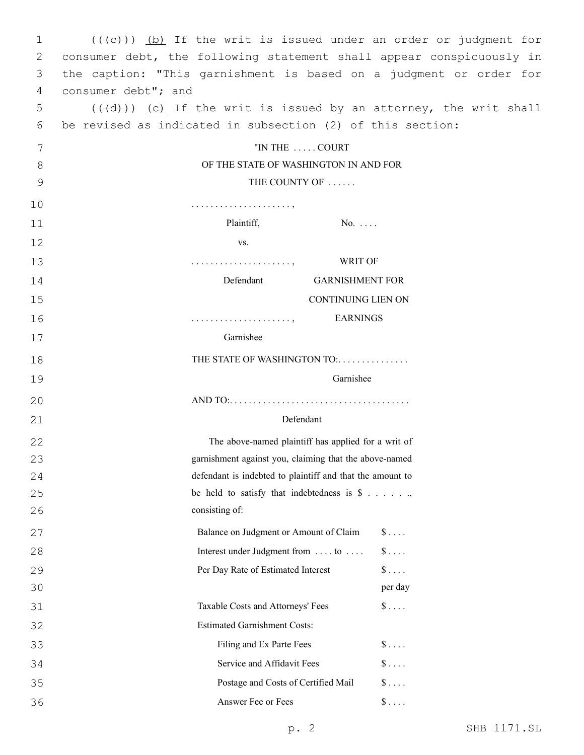| 1  | $((+e))$ (b) If the writ is issued under an order or judgment for            |  |  |
|----|------------------------------------------------------------------------------|--|--|
| 2  | consumer debt, the following statement shall appear conspicuously in         |  |  |
| 3  | the caption: "This garnishment is based on a judgment or order for           |  |  |
| 4  | consumer debt"; and                                                          |  |  |
| 5  | $((\overline{d})$ ) (c) If the writ is issued by an attorney, the writ shall |  |  |
| 6  | be revised as indicated in subsection (2) of this section:                   |  |  |
| 7  | "IN THE  COURT                                                               |  |  |
| 8  | OF THE STATE OF WASHINGTON IN AND FOR                                        |  |  |
| 9  | THE COUNTY OF                                                                |  |  |
| 10 |                                                                              |  |  |
| 11 | Plaintiff,<br>$No. \ldots$                                                   |  |  |
| 12 | VS.                                                                          |  |  |
| 13 | WRIT OF                                                                      |  |  |
| 14 | Defendant<br><b>GARNISHMENT FOR</b>                                          |  |  |
| 15 | <b>CONTINUING LIEN ON</b>                                                    |  |  |
| 16 | <b>EARNINGS</b>                                                              |  |  |
| 17 | Garnishee                                                                    |  |  |
| 18 | THE STATE OF WASHINGTON TO:                                                  |  |  |
|    | Garnishee                                                                    |  |  |
| 19 |                                                                              |  |  |
| 20 |                                                                              |  |  |
| 21 | Defendant                                                                    |  |  |
| 22 | The above-named plaintiff has applied for a writ of                          |  |  |
| 23 | garnishment against you, claiming that the above-named                       |  |  |
| 24 | defendant is indebted to plaintiff and that the amount to                    |  |  |
| 25 | be held to satisfy that indebtedness is $\$ \dots \dots$                     |  |  |
| 26 | consisting of:                                                               |  |  |
| 27 | Balance on Judgment or Amount of Claim<br>$\$\ldots$ .                       |  |  |
| 28 | Interest under Judgment from  to<br>$\$\ldots$                               |  |  |
| 29 | $\hat{\mathbf{S}}$<br>Per Day Rate of Estimated Interest                     |  |  |
| 30 | per day                                                                      |  |  |
| 31 | $\S$<br>Taxable Costs and Attorneys' Fees                                    |  |  |
| 32 | <b>Estimated Garnishment Costs:</b>                                          |  |  |
| 33 | Filing and Ex Parte Fees<br>$\$\ldots$                                       |  |  |
| 34 | $\frac{1}{2}$<br>Service and Affidavit Fees                                  |  |  |
| 35 | $\S \ldots$<br>Postage and Costs of Certified Mail                           |  |  |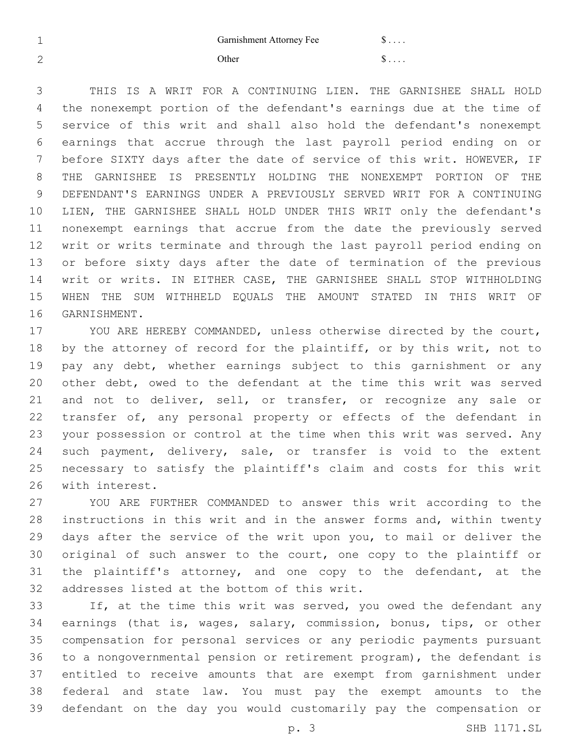1 Garnishment Attorney Fee \$ . . . .  $2 \qquad \qquad \text{Other} \qquad \qquad \text{s} \ldots$ 

 THIS IS A WRIT FOR A CONTINUING LIEN. THE GARNISHEE SHALL HOLD the nonexempt portion of the defendant's earnings due at the time of service of this writ and shall also hold the defendant's nonexempt earnings that accrue through the last payroll period ending on or before SIXTY days after the date of service of this writ. HOWEVER, IF THE GARNISHEE IS PRESENTLY HOLDING THE NONEXEMPT PORTION OF THE DEFENDANT'S EARNINGS UNDER A PREVIOUSLY SERVED WRIT FOR A CONTINUING LIEN, THE GARNISHEE SHALL HOLD UNDER THIS WRIT only the defendant's nonexempt earnings that accrue from the date the previously served writ or writs terminate and through the last payroll period ending on or before sixty days after the date of termination of the previous writ or writs. IN EITHER CASE, THE GARNISHEE SHALL STOP WITHHOLDING WHEN THE SUM WITHHELD EQUALS THE AMOUNT STATED IN THIS WRIT OF 16 GARNISHMENT.

 YOU ARE HEREBY COMMANDED, unless otherwise directed by the court, by the attorney of record for the plaintiff, or by this writ, not to pay any debt, whether earnings subject to this garnishment or any other debt, owed to the defendant at the time this writ was served and not to deliver, sell, or transfer, or recognize any sale or transfer of, any personal property or effects of the defendant in your possession or control at the time when this writ was served. Any 24 such payment, delivery, sale, or transfer is void to the extent necessary to satisfy the plaintiff's claim and costs for this writ 26 with interest.

 YOU ARE FURTHER COMMANDED to answer this writ according to the instructions in this writ and in the answer forms and, within twenty days after the service of the writ upon you, to mail or deliver the original of such answer to the court, one copy to the plaintiff or the plaintiff's attorney, and one copy to the defendant, at the 32 addresses listed at the bottom of this writ.

33 If, at the time this writ was served, you owed the defendant any earnings (that is, wages, salary, commission, bonus, tips, or other compensation for personal services or any periodic payments pursuant to a nongovernmental pension or retirement program), the defendant is entitled to receive amounts that are exempt from garnishment under federal and state law. You must pay the exempt amounts to the defendant on the day you would customarily pay the compensation or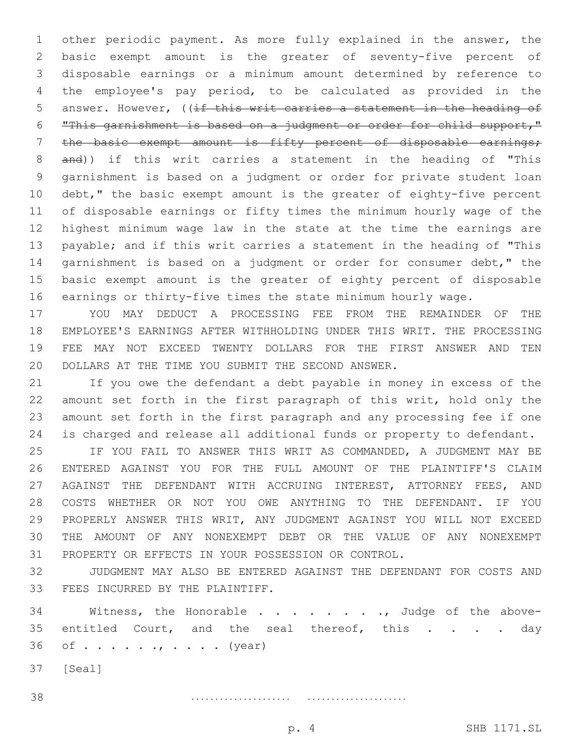other periodic payment. As more fully explained in the answer, the basic exempt amount is the greater of seventy-five percent of disposable earnings or a minimum amount determined by reference to the employee's pay period, to be calculated as provided in the 5 answer. However, ((if this writ carries a statement in the heading of "This garnishment is based on a judgment or order for child support," the basic exempt amount is fifty percent of disposable earnings; and)) if this writ carries a statement in the heading of "This garnishment is based on a judgment or order for private student loan debt," the basic exempt amount is the greater of eighty-five percent of disposable earnings or fifty times the minimum hourly wage of the highest minimum wage law in the state at the time the earnings are payable; and if this writ carries a statement in the heading of "This garnishment is based on a judgment or order for consumer debt," the basic exempt amount is the greater of eighty percent of disposable earnings or thirty-five times the state minimum hourly wage.

 YOU MAY DEDUCT A PROCESSING FEE FROM THE REMAINDER OF THE EMPLOYEE'S EARNINGS AFTER WITHHOLDING UNDER THIS WRIT. THE PROCESSING FEE MAY NOT EXCEED TWENTY DOLLARS FOR THE FIRST ANSWER AND TEN 20 DOLLARS AT THE TIME YOU SUBMIT THE SECOND ANSWER.

 If you owe the defendant a debt payable in money in excess of the amount set forth in the first paragraph of this writ, hold only the amount set forth in the first paragraph and any processing fee if one is charged and release all additional funds or property to defendant.

 IF YOU FAIL TO ANSWER THIS WRIT AS COMMANDED, A JUDGMENT MAY BE ENTERED AGAINST YOU FOR THE FULL AMOUNT OF THE PLAINTIFF'S CLAIM AGAINST THE DEFENDANT WITH ACCRUING INTEREST, ATTORNEY FEES, AND COSTS WHETHER OR NOT YOU OWE ANYTHING TO THE DEFENDANT. IF YOU PROPERLY ANSWER THIS WRIT, ANY JUDGMENT AGAINST YOU WILL NOT EXCEED THE AMOUNT OF ANY NONEXEMPT DEBT OR THE VALUE OF ANY NONEXEMPT PROPERTY OR EFFECTS IN YOUR POSSESSION OR CONTROL.

 JUDGMENT MAY ALSO BE ENTERED AGAINST THE DEFENDANT FOR COSTS AND 33 FEES INCURRED BY THE PLAINTIFF.

34 Witness, the Honorable . . . . . . . . Judge of the above-35 entitled Court, and the seal thereof, this . . . . day of  $\dots$ ,  $\dots$ ,  $\dots$ , (year)

37 [Seal]

. . . . . . . . . . . . . . . . . . . . . . . . . . . . . . . . . . . . . . . . . .

p. 4 SHB 1171.SL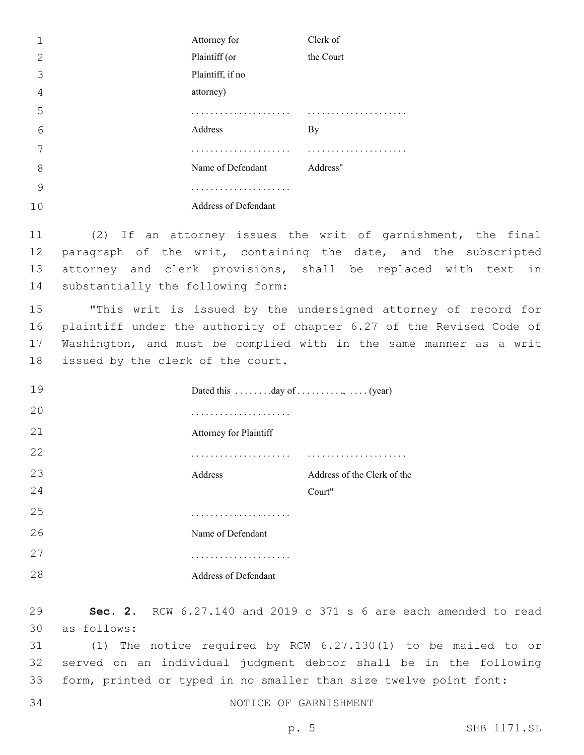|    | Attorney for         | Clerk of  |
|----|----------------------|-----------|
| 2  | Plaintiff (or        | the Court |
| 3  | Plaintiff, if no     |           |
| 4  | attorney)            |           |
| 5  | .                    |           |
| 6  | Address              | By        |
|    |                      | .         |
| 8  | Name of Defendant    | Address"  |
| 9  |                      |           |
| 10 | Address of Defendant |           |

 (2) If an attorney issues the writ of garnishment, the final 12 paragraph of the writ, containing the date, and the subscripted attorney and clerk provisions, shall be replaced with text in 14 substantially the following form:

 "This writ is issued by the undersigned attorney of record for plaintiff under the authority of chapter 6.27 of the Revised Code of Washington, and must be complied with in the same manner as a writ 18 issued by the clerk of the court.

19 Dated this . . . . . . . . day of . . . . . . . . . . . . (year) . . . . . . . . . . . . . . . . . . . . . Attorney for Plaintiff . . . . . . . . . . . . . . . . . . . . . . . . . . . . . . . . . . . . . . . . . . Address Address of the Clerk of the Court" . . . . . . . . . . . . . . . . . . . . . Name of Defendant . . . . . . . . . . . . . . . . . . . . . Address of Defendant

 **Sec. 2.** RCW 6.27.140 and 2019 c 371 s 6 are each amended to read as follows:30

 (1) The notice required by RCW 6.27.130(1) to be mailed to or served on an individual judgment debtor shall be in the following form, printed or typed in no smaller than size twelve point font:

34 NOTICE OF GARNISHMENT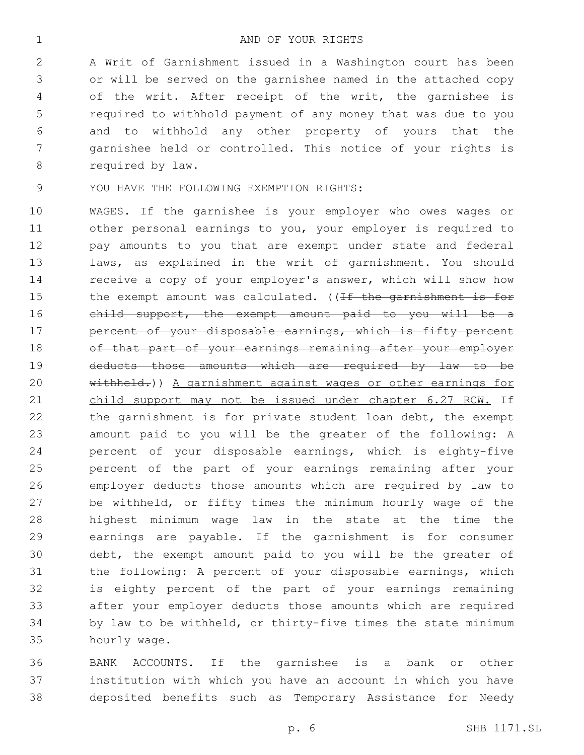A Writ of Garnishment issued in a Washington court has been or will be served on the garnishee named in the attached copy of the writ. After receipt of the writ, the garnishee is required to withhold payment of any money that was due to you and to withhold any other property of yours that the garnishee held or controlled. This notice of your rights is 8 required by law.

9 YOU HAVE THE FOLLOWING EXEMPTION RIGHTS:

 WAGES. If the garnishee is your employer who owes wages or other personal earnings to you, your employer is required to pay amounts to you that are exempt under state and federal laws, as explained in the writ of garnishment. You should receive a copy of your employer's answer, which will show how 15 the exempt amount was calculated. ((If the garnishment is for child support, the exempt amount paid to you will be a **percent of your disposable earnings, which is fifty percent** 18 of that part of your earnings remaining after your employer 19 deducts those amounts which are required by law to be 20 withheld.)) A garnishment against wages or other earnings for 21 child support may not be issued under chapter 6.27 RCW. If 22 the garnishment is for private student loan debt, the exempt amount paid to you will be the greater of the following: A percent of your disposable earnings, which is eighty-five percent of the part of your earnings remaining after your employer deducts those amounts which are required by law to be withheld, or fifty times the minimum hourly wage of the highest minimum wage law in the state at the time the earnings are payable. If the garnishment is for consumer debt, the exempt amount paid to you will be the greater of the following: A percent of your disposable earnings, which is eighty percent of the part of your earnings remaining after your employer deducts those amounts which are required by law to be withheld, or thirty-five times the state minimum hourly wage.35

 BANK ACCOUNTS. If the garnishee is a bank or other institution with which you have an account in which you have deposited benefits such as Temporary Assistance for Needy

p. 6 SHB 1171.SL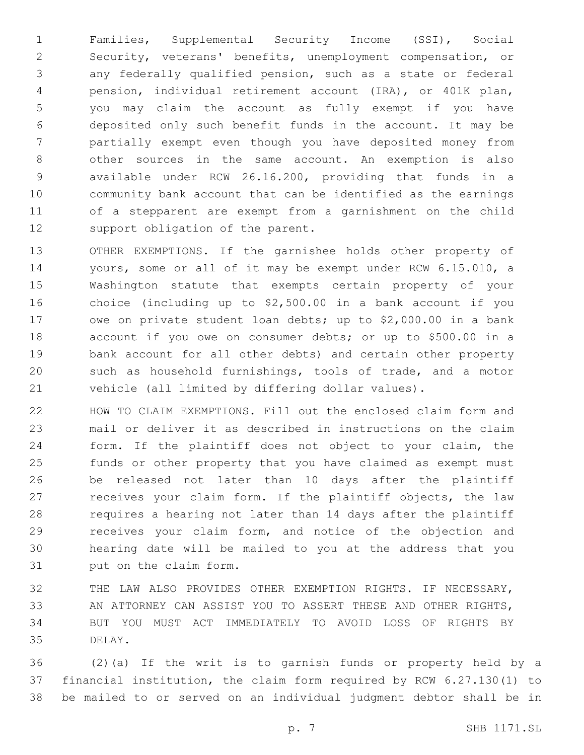Families, Supplemental Security Income (SSI), Social Security, veterans' benefits, unemployment compensation, or any federally qualified pension, such as a state or federal pension, individual retirement account (IRA), or 401K plan, you may claim the account as fully exempt if you have deposited only such benefit funds in the account. It may be partially exempt even though you have deposited money from other sources in the same account. An exemption is also available under RCW 26.16.200, providing that funds in a community bank account that can be identified as the earnings of a stepparent are exempt from a garnishment on the child 12 support obligation of the parent.

 OTHER EXEMPTIONS. If the garnishee holds other property of yours, some or all of it may be exempt under RCW 6.15.010, a Washington statute that exempts certain property of your choice (including up to \$2,500.00 in a bank account if you owe on private student loan debts; up to \$2,000.00 in a bank account if you owe on consumer debts; or up to \$500.00 in a bank account for all other debts) and certain other property such as household furnishings, tools of trade, and a motor vehicle (all limited by differing dollar values).

 HOW TO CLAIM EXEMPTIONS. Fill out the enclosed claim form and mail or deliver it as described in instructions on the claim form. If the plaintiff does not object to your claim, the funds or other property that you have claimed as exempt must be released not later than 10 days after the plaintiff receives your claim form. If the plaintiff objects, the law requires a hearing not later than 14 days after the plaintiff receives your claim form, and notice of the objection and hearing date will be mailed to you at the address that you 31 put on the claim form.

 THE LAW ALSO PROVIDES OTHER EXEMPTION RIGHTS. IF NECESSARY, AN ATTORNEY CAN ASSIST YOU TO ASSERT THESE AND OTHER RIGHTS, BUT YOU MUST ACT IMMEDIATELY TO AVOID LOSS OF RIGHTS BY 35 DELAY.

 (2)(a) If the writ is to garnish funds or property held by a financial institution, the claim form required by RCW 6.27.130(1) to be mailed to or served on an individual judgment debtor shall be in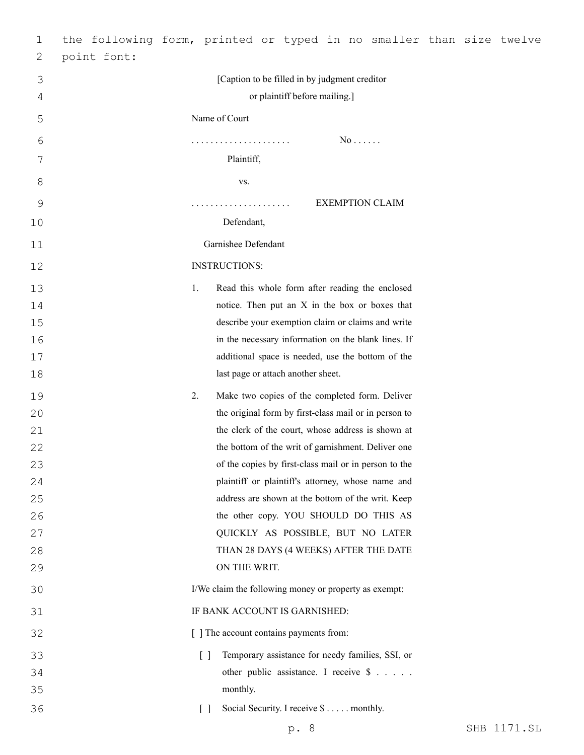| 1  |                                   | the following form, printed or typed in no smaller than size twelve |
|----|-----------------------------------|---------------------------------------------------------------------|
| 2  | point font:                       |                                                                     |
| 3  |                                   | [Caption to be filled in by judgment creditor                       |
| 4  |                                   | or plaintiff before mailing.]                                       |
| 5  | Name of Court                     |                                                                     |
| 6  |                                   | $No \ldots$ .                                                       |
| 7  |                                   | Plaintiff,                                                          |
| 8  |                                   | VS.                                                                 |
| 9  |                                   | <b>EXEMPTION CLAIM</b><br>.                                         |
| 10 |                                   | Defendant,                                                          |
| 11 |                                   | Garnishee Defendant                                                 |
| 12 | <b>INSTRUCTIONS:</b>              |                                                                     |
| 13 | 1.                                | Read this whole form after reading the enclosed                     |
| 14 |                                   | notice. Then put an X in the box or boxes that                      |
| 15 |                                   | describe your exemption claim or claims and write                   |
| 16 |                                   | in the necessary information on the blank lines. If                 |
| 17 |                                   | additional space is needed, use the bottom of the                   |
| 18 |                                   | last page or attach another sheet.                                  |
| 19 | 2.                                | Make two copies of the completed form. Deliver                      |
| 20 |                                   | the original form by first-class mail or in person to               |
| 21 |                                   | the clerk of the court, whose address is shown at                   |
| 22 |                                   | the bottom of the writ of garnishment. Deliver one                  |
| 23 |                                   | of the copies by first-class mail or in person to the               |
| 24 |                                   | plaintiff or plaintiff's attorney, whose name and                   |
| 25 |                                   | address are shown at the bottom of the writ. Keep                   |
| 26 |                                   | the other copy. YOU SHOULD DO THIS AS                               |
| 27 |                                   | QUICKLY AS POSSIBLE, BUT NO LATER                                   |
| 28 |                                   | THAN 28 DAYS (4 WEEKS) AFTER THE DATE                               |
| 29 |                                   | ON THE WRIT.                                                        |
| 30 |                                   | I/We claim the following money or property as exempt:               |
| 31 |                                   | IF BANK ACCOUNT IS GARNISHED:                                       |
| 32 |                                   | [ ] The account contains payments from:                             |
| 33 | $\lceil$ $\rceil$                 | Temporary assistance for needy families, SSI, or                    |
| 34 |                                   | other public assistance. I receive \$                               |
| 35 |                                   | monthly.                                                            |
| 36 | $\begin{bmatrix} 1 \end{bmatrix}$ | Social Security. I receive \$ monthly.                              |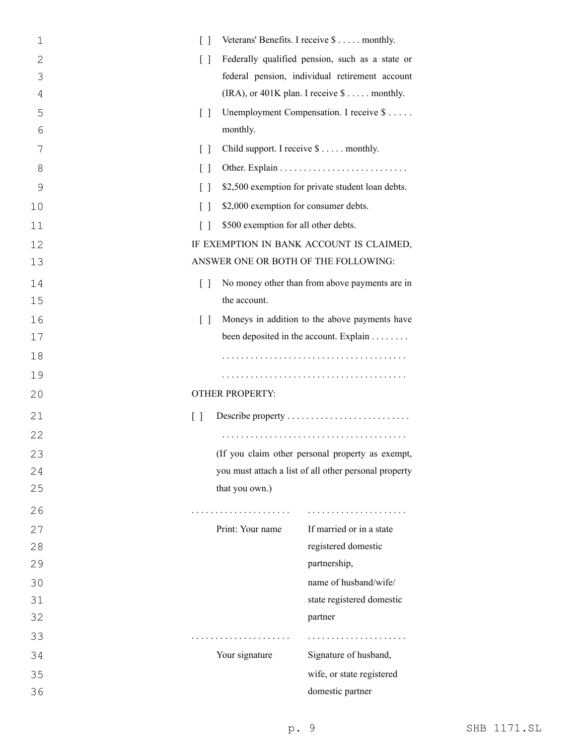| $\mathbf 1$ | $\Box$                                                     | Veterans' Benefits. I receive \$ monthly.             |
|-------------|------------------------------------------------------------|-------------------------------------------------------|
| 2           | $\lceil$ $\rceil$                                          | Federally qualified pension, such as a state or       |
| 3           |                                                            | federal pension, individual retirement account        |
| 4           |                                                            | (IRA), or 401K plan. I receive $\$\dots$ monthly.     |
| 5           | $\begin{bmatrix} \end{bmatrix}$                            | Unemployment Compensation. I receive \$               |
| 6           | monthly.                                                   |                                                       |
| 7           | $\begin{bmatrix} 1 \end{bmatrix}$                          | Child support. I receive \$ monthly.                  |
| 8           | $\lceil$ $\rceil$                                          |                                                       |
| 9           | $\lceil$ $\rceil$                                          | \$2,500 exemption for private student loan debts.     |
| 10          | \$2,000 exemption for consumer debts.<br>$\lceil$ $\rceil$ |                                                       |
| 11          | \$500 exemption for all other debts.<br>$\lceil$ $\rceil$  |                                                       |
| 12          |                                                            | IF EXEMPTION IN BANK ACCOUNT IS CLAIMED,              |
| 13          | ANSWER ONE OR BOTH OF THE FOLLOWING:                       |                                                       |
| 14          | $\lceil$ $\rceil$                                          | No money other than from above payments are in        |
| 15          | the account.                                               |                                                       |
| 16          | $\lceil$ $\rceil$                                          | Moneys in addition to the above payments have         |
| 17          |                                                            | been deposited in the account. Explain                |
| 18          |                                                            |                                                       |
| 19          |                                                            |                                                       |
| 20          | <b>OTHER PROPERTY:</b>                                     |                                                       |
| 21          | $\begin{bmatrix} \end{bmatrix}$                            | Describe property                                     |
| 22          |                                                            |                                                       |
| 23          |                                                            | (If you claim other personal property as exempt,      |
| 24          |                                                            | you must attach a list of all other personal property |
| 25          | that you own.)                                             |                                                       |
| 26          | .                                                          |                                                       |
| 27          | Print: Your name                                           | If married or in a state                              |
| 28          |                                                            | registered domestic                                   |
| 29          |                                                            | partnership,                                          |
| 30          |                                                            | name of husband/wife/                                 |
| 31          |                                                            | state registered domestic                             |
| 32          |                                                            | partner                                               |
| 33          | .                                                          |                                                       |
| 34          | Your signature                                             | Signature of husband,                                 |
| 35          |                                                            | wife, or state registered                             |
| 36          |                                                            | domestic partner                                      |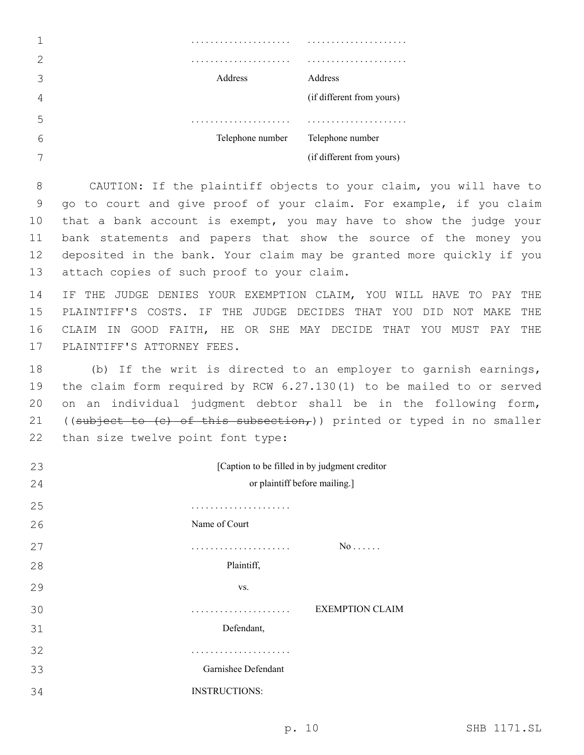|   | .                |                           |
|---|------------------|---------------------------|
|   | .                |                           |
|   | Address          | Address                   |
|   |                  | (if different from yours) |
| 5 | .                |                           |
|   | Telephone number | Telephone number          |
|   |                  | (if different from yours) |
|   |                  |                           |

 CAUTION: If the plaintiff objects to your claim, you will have to go to court and give proof of your claim. For example, if you claim that a bank account is exempt, you may have to show the judge your bank statements and papers that show the source of the money you deposited in the bank. Your claim may be granted more quickly if you 13 attach copies of such proof to your claim.

 IF THE JUDGE DENIES YOUR EXEMPTION CLAIM, YOU WILL HAVE TO PAY THE PLAINTIFF'S COSTS. IF THE JUDGE DECIDES THAT YOU DID NOT MAKE THE CLAIM IN GOOD FAITH, HE OR SHE MAY DECIDE THAT YOU MUST PAY THE 17 PLAINTIFF'S ATTORNEY FEES.

 (b) If the writ is directed to an employer to garnish earnings, the claim form required by RCW 6.27.130(1) to be mailed to or served on an individual judgment debtor shall be in the following form, 21 ((subject to  $(e)$  of this subsection,)) printed or typed in no smaller 22 than size twelve point font type:

| 23 | [Caption to be filled in by judgment creditor |                        |
|----|-----------------------------------------------|------------------------|
| 24 | or plaintiff before mailing.]                 |                        |
| 25 |                                               |                        |
| 26 | Name of Court                                 |                        |
| 27 | .                                             | $No \ldots$ .          |
| 28 | Plaintiff,                                    |                        |
| 29 | VS.                                           |                        |
| 30 | .                                             | <b>EXEMPTION CLAIM</b> |
| 31 | Defendant,                                    |                        |
| 32 | .                                             |                        |
| 33 | Garnishee Defendant                           |                        |
| 34 | <b>INSTRUCTIONS:</b>                          |                        |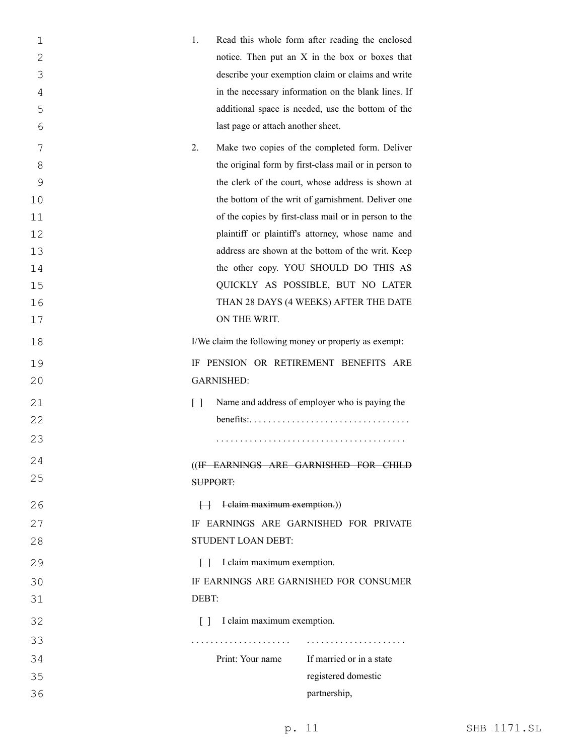| 1              | 1.                                                    | Read this whole form after reading the enclosed                            |  |
|----------------|-------------------------------------------------------|----------------------------------------------------------------------------|--|
| $\overline{2}$ |                                                       | notice. Then put an X in the box or boxes that                             |  |
| 3              |                                                       | describe your exemption claim or claims and write                          |  |
| 4              |                                                       | in the necessary information on the blank lines. If                        |  |
| 5              |                                                       | additional space is needed, use the bottom of the                          |  |
| 6              | last page or attach another sheet.                    |                                                                            |  |
| 7              | 2.                                                    | Make two copies of the completed form. Deliver                             |  |
| 8              |                                                       | the original form by first-class mail or in person to                      |  |
| 9              |                                                       | the clerk of the court, whose address is shown at                          |  |
| 10             |                                                       | the bottom of the writ of garnishment. Deliver one                         |  |
| 11             |                                                       | of the copies by first-class mail or in person to the                      |  |
| 12             |                                                       | plaintiff or plaintiff's attorney, whose name and                          |  |
| 13             |                                                       | address are shown at the bottom of the writ. Keep                          |  |
| 14             |                                                       | the other copy. YOU SHOULD DO THIS AS                                      |  |
| 15             |                                                       | QUICKLY AS POSSIBLE, BUT NO LATER                                          |  |
| 16             |                                                       | THAN 28 DAYS (4 WEEKS) AFTER THE DATE                                      |  |
| 17             | ON THE WRIT.                                          |                                                                            |  |
| 18             | I/We claim the following money or property as exempt: |                                                                            |  |
| 19             | IF PENSION OR RETIREMENT BENEFITS ARE                 |                                                                            |  |
| 20             | <b>GARNISHED:</b>                                     |                                                                            |  |
| 21             | $\lceil$ $\rceil$                                     | Name and address of employer who is paying the                             |  |
| 22             |                                                       | $benefits: \ldots \ldots \ldots \ldots \ldots \ldots \ldots \ldots \ldots$ |  |
| 23             |                                                       |                                                                            |  |
| 24             | ((IF EARNINGS ARE GARNISHED FOR CHILD                 |                                                                            |  |
| 25             | <b>SUPPORT:</b>                                       |                                                                            |  |
| 26             | $\leftarrow$ I claim maximum exemption.)              |                                                                            |  |
| 27             | IF EARNINGS ARE GARNISHED FOR PRIVATE                 |                                                                            |  |
| 28             | STUDENT LOAN DEBT:                                    |                                                                            |  |
| 29             | [] I claim maximum exemption.                         |                                                                            |  |
| 30             |                                                       | IF EARNINGS ARE GARNISHED FOR CONSUMER                                     |  |
| 31             | DEBT:                                                 |                                                                            |  |
| 32             | [ ] I claim maximum exemption.                        |                                                                            |  |
| 33             | .                                                     |                                                                            |  |
| 34             | Print: Your name                                      | If married or in a state                                                   |  |
| 35             |                                                       | registered domestic                                                        |  |
| 36             |                                                       | partnership,                                                               |  |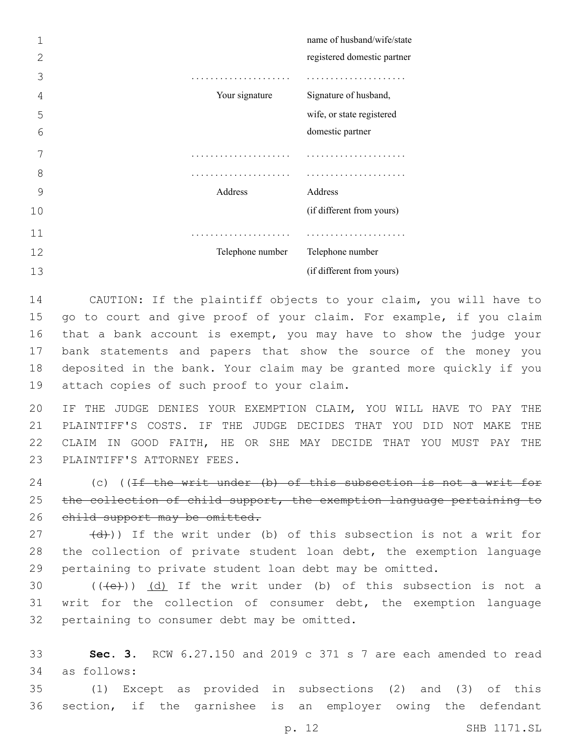|    |                  | name of husband/wife/state  |
|----|------------------|-----------------------------|
| 2  |                  | registered domestic partner |
| 3  |                  |                             |
| 4  | Your signature   | Signature of husband,       |
| 5  |                  | wife, or state registered   |
| 6  |                  | domestic partner            |
| 7  |                  |                             |
| 8  | .                |                             |
| 9  | Address          | Address                     |
| 10 |                  | (if different from yours)   |
| 11 |                  |                             |
| 12 | Telephone number | Telephone number            |
| 13 |                  | (if different from yours)   |

 CAUTION: If the plaintiff objects to your claim, you will have to go to court and give proof of your claim. For example, if you claim that a bank account is exempt, you may have to show the judge your bank statements and papers that show the source of the money you deposited in the bank. Your claim may be granted more quickly if you 19 attach copies of such proof to your claim.

 IF THE JUDGE DENIES YOUR EXEMPTION CLAIM, YOU WILL HAVE TO PAY THE PLAINTIFF'S COSTS. IF THE JUDGE DECIDES THAT YOU DID NOT MAKE THE CLAIM IN GOOD FAITH, HE OR SHE MAY DECIDE THAT YOU MUST PAY THE 23 PLAINTIFF'S ATTORNEY FEES.

24 (c) ((If the writ under (b) of this subsection is not a writ for 25 the collection of child support, the exemption language pertaining to 26 child support may be omitted.

 $(27 - (d))$  If the writ under (b) of this subsection is not a writ for the collection of private student loan debt, the exemption language pertaining to private student loan debt may be omitted.

30  $((+e))$   $(d)$  If the writ under (b) of this subsection is not a writ for the collection of consumer debt, the exemption language 32 pertaining to consumer debt may be omitted.

 **Sec. 3.** RCW 6.27.150 and 2019 c 371 s 7 are each amended to read as follows:34

 (1) Except as provided in subsections (2) and (3) of this section, if the garnishee is an employer owing the defendant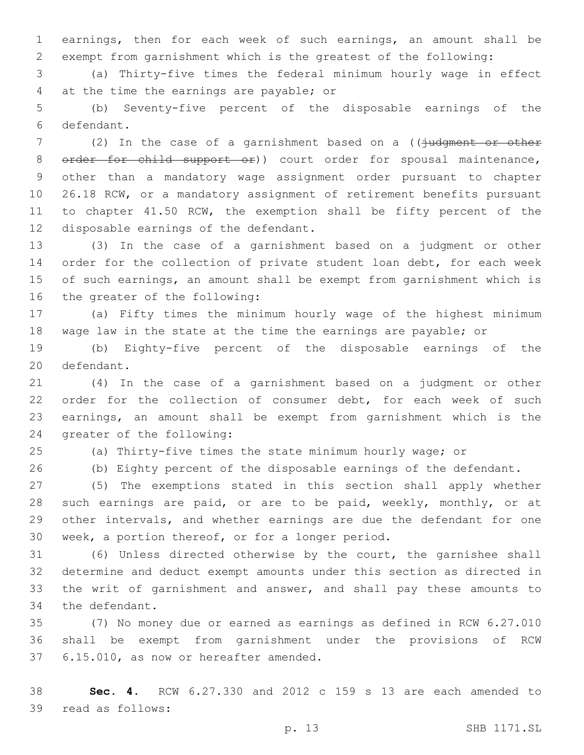earnings, then for each week of such earnings, an amount shall be exempt from garnishment which is the greatest of the following:

 (a) Thirty-five times the federal minimum hourly wage in effect 4 at the time the earnings are payable; or

 (b) Seventy-five percent of the disposable earnings of the defendant.6

7 (2) In the case of a garnishment based on a (( $\frac{1}{1}$ udgment or other 8 order for child support or)) court order for spousal maintenance, other than a mandatory wage assignment order pursuant to chapter 26.18 RCW, or a mandatory assignment of retirement benefits pursuant 11 to chapter 41.50 RCW, the exemption shall be fifty percent of the 12 disposable earnings of the defendant.

 (3) In the case of a garnishment based on a judgment or other order for the collection of private student loan debt, for each week of such earnings, an amount shall be exempt from garnishment which is 16 the greater of the following:

 (a) Fifty times the minimum hourly wage of the highest minimum wage law in the state at the time the earnings are payable; or

 (b) Eighty-five percent of the disposable earnings of the 20 defendant.

 (4) In the case of a garnishment based on a judgment or other order for the collection of consumer debt, for each week of such earnings, an amount shall be exempt from garnishment which is the 24 greater of the following:

(a) Thirty-five times the state minimum hourly wage; or

(b) Eighty percent of the disposable earnings of the defendant.

 (5) The exemptions stated in this section shall apply whether 28 such earnings are paid, or are to be paid, weekly, monthly, or at other intervals, and whether earnings are due the defendant for one 30 week, a portion thereof, or for a longer period.

 (6) Unless directed otherwise by the court, the garnishee shall determine and deduct exempt amounts under this section as directed in the writ of garnishment and answer, and shall pay these amounts to 34 the defendant.

 (7) No money due or earned as earnings as defined in RCW 6.27.010 shall be exempt from garnishment under the provisions of RCW 37 6.15.010, as now or hereafter amended.

 **Sec. 4.** RCW 6.27.330 and 2012 c 159 s 13 are each amended to 39 read as follows: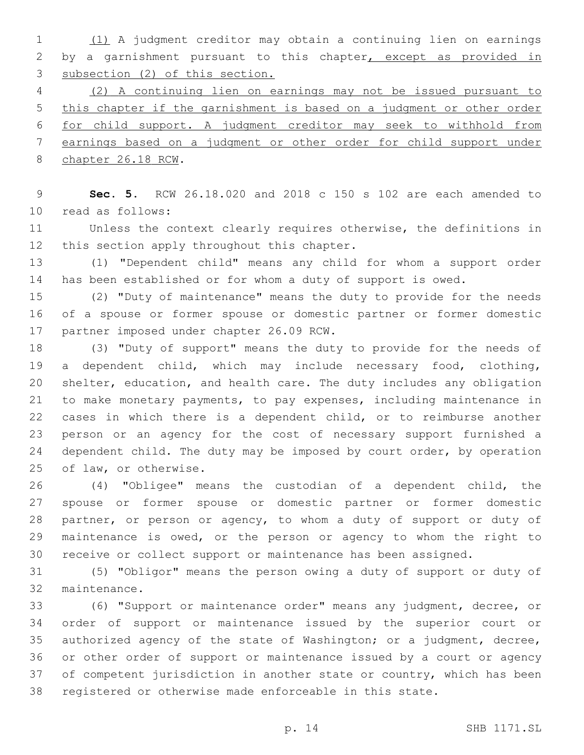(1) A judgment creditor may obtain a continuing lien on earnings 2 by a garnishment pursuant to this chapter, except as provided in subsection (2) of this section.

 (2) A continuing lien on earnings may not be issued pursuant to this chapter if the garnishment is based on a judgment or other order for child support. A judgment creditor may seek to withhold from earnings based on a judgment or other order for child support under 8 chapter 26.18 RCW.

 **Sec. 5.** RCW 26.18.020 and 2018 c 150 s 102 are each amended to read as follows:10

 Unless the context clearly requires otherwise, the definitions in 12 this section apply throughout this chapter.

 (1) "Dependent child" means any child for whom a support order has been established or for whom a duty of support is owed.

 (2) "Duty of maintenance" means the duty to provide for the needs of a spouse or former spouse or domestic partner or former domestic 17 partner imposed under chapter 26.09 RCW.

 (3) "Duty of support" means the duty to provide for the needs of a dependent child, which may include necessary food, clothing, shelter, education, and health care. The duty includes any obligation to make monetary payments, to pay expenses, including maintenance in cases in which there is a dependent child, or to reimburse another person or an agency for the cost of necessary support furnished a 24 dependent child. The duty may be imposed by court order, by operation 25 of law, or otherwise.

 (4) "Obligee" means the custodian of a dependent child, the spouse or former spouse or domestic partner or former domestic 28 partner, or person or agency, to whom a duty of support or duty of maintenance is owed, or the person or agency to whom the right to receive or collect support or maintenance has been assigned.

 (5) "Obligor" means the person owing a duty of support or duty of 32 maintenance.

 (6) "Support or maintenance order" means any judgment, decree, or order of support or maintenance issued by the superior court or authorized agency of the state of Washington; or a judgment, decree, or other order of support or maintenance issued by a court or agency 37 of competent jurisdiction in another state or country, which has been registered or otherwise made enforceable in this state.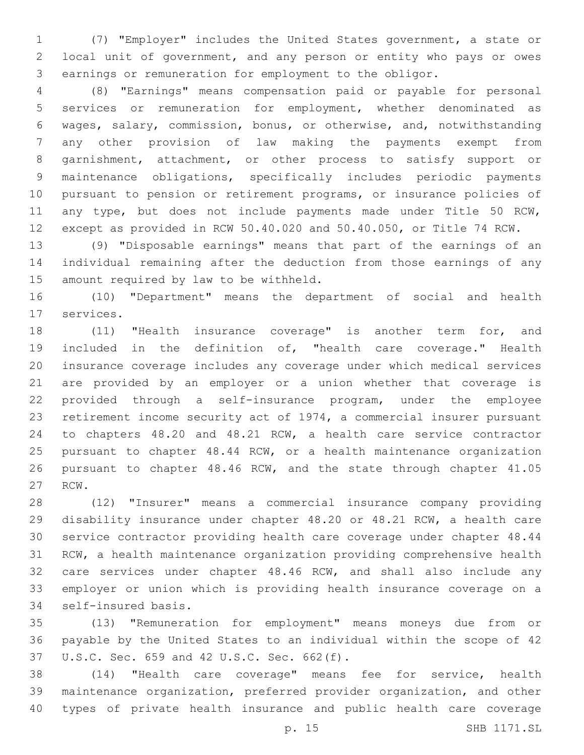(7) "Employer" includes the United States government, a state or local unit of government, and any person or entity who pays or owes earnings or remuneration for employment to the obligor.

 (8) "Earnings" means compensation paid or payable for personal services or remuneration for employment, whether denominated as wages, salary, commission, bonus, or otherwise, and, notwithstanding any other provision of law making the payments exempt from garnishment, attachment, or other process to satisfy support or maintenance obligations, specifically includes periodic payments pursuant to pension or retirement programs, or insurance policies of any type, but does not include payments made under Title 50 RCW, except as provided in RCW 50.40.020 and 50.40.050, or Title 74 RCW.

 (9) "Disposable earnings" means that part of the earnings of an individual remaining after the deduction from those earnings of any 15 amount required by law to be withheld.

 (10) "Department" means the department of social and health 17 services.

 (11) "Health insurance coverage" is another term for, and included in the definition of, "health care coverage." Health insurance coverage includes any coverage under which medical services are provided by an employer or a union whether that coverage is provided through a self-insurance program, under the employee retirement income security act of 1974, a commercial insurer pursuant to chapters 48.20 and 48.21 RCW, a health care service contractor pursuant to chapter 48.44 RCW, or a health maintenance organization pursuant to chapter 48.46 RCW, and the state through chapter 41.05 27 RCW.

 (12) "Insurer" means a commercial insurance company providing disability insurance under chapter 48.20 or 48.21 RCW, a health care service contractor providing health care coverage under chapter 48.44 RCW, a health maintenance organization providing comprehensive health care services under chapter 48.46 RCW, and shall also include any employer or union which is providing health insurance coverage on a 34 self-insured basis.

 (13) "Remuneration for employment" means moneys due from or payable by the United States to an individual within the scope of 42 37 U.S.C. Sec. 659 and 42 U.S.C. Sec. 662(f).

 (14) "Health care coverage" means fee for service, health maintenance organization, preferred provider organization, and other types of private health insurance and public health care coverage

p. 15 SHB 1171.SL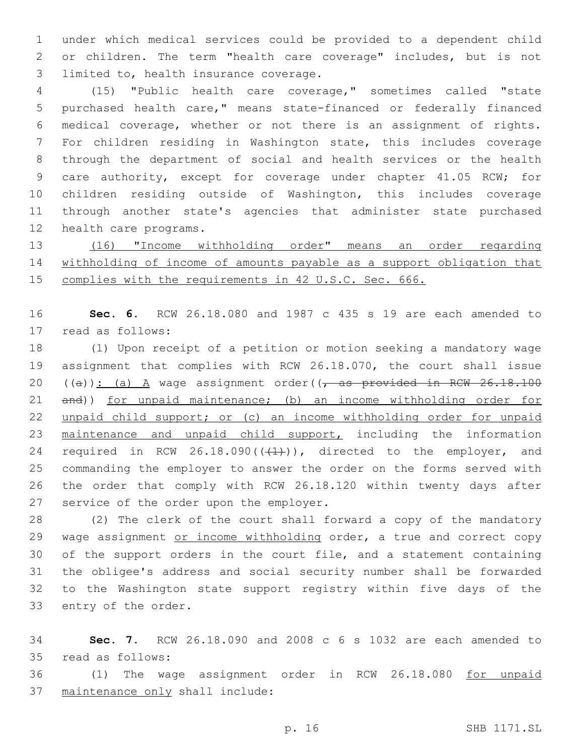under which medical services could be provided to a dependent child or children. The term "health care coverage" includes, but is not 3 limited to, health insurance coverage.

 (15) "Public health care coverage," sometimes called "state purchased health care," means state-financed or federally financed medical coverage, whether or not there is an assignment of rights. For children residing in Washington state, this includes coverage through the department of social and health services or the health care authority, except for coverage under chapter 41.05 RCW; for children residing outside of Washington, this includes coverage through another state's agencies that administer state purchased 12 health care programs.

 (16) "Income withholding order" means an order regarding withholding of income of amounts payable as a support obligation that complies with the requirements in 42 U.S.C. Sec. 666.

 **Sec. 6.** RCW 26.18.080 and 1987 c 435 s 19 are each amended to 17 read as follows:

 (1) Upon receipt of a petition or motion seeking a mandatory wage assignment that complies with RCW 26.18.070, the court shall issue 20 ((a)): (a)  $A$  wage assignment order(( $\tau$  as provided in RCW 26.18.100 and)) for unpaid maintenance; (b) an income withholding order for unpaid child support; or (c) an income withholding order for unpaid maintenance and unpaid child support, including the information 24 required in RCW 26.18.090( $(\frac{1}{1})$ ), directed to the employer, and commanding the employer to answer the order on the forms served with the order that comply with RCW 26.18.120 within twenty days after 27 service of the order upon the employer.

 (2) The clerk of the court shall forward a copy of the mandatory 29 wage assignment or income withholding order, a true and correct copy of the support orders in the court file, and a statement containing the obligee's address and social security number shall be forwarded to the Washington state support registry within five days of the 33 entry of the order.

 **Sec. 7.** RCW 26.18.090 and 2008 c 6 s 1032 are each amended to read as follows:35

36 (1) The wage assignment order in RCW 26.18.080 for unpaid 37 maintenance only shall include: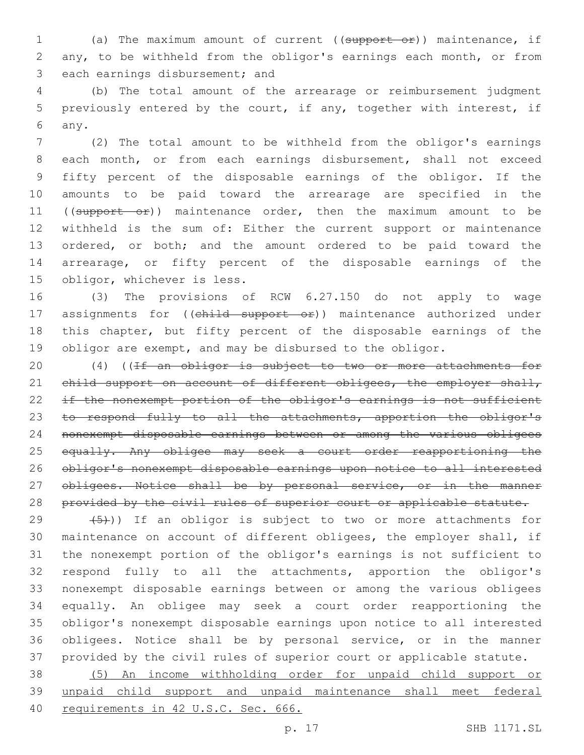(a) The maximum amount of current ((support or)) maintenance, if any, to be withheld from the obligor's earnings each month, or from 3 each earnings disbursement; and

 (b) The total amount of the arrearage or reimbursement judgment previously entered by the court, if any, together with interest, if any.6

 (2) The total amount to be withheld from the obligor's earnings each month, or from each earnings disbursement, shall not exceed fifty percent of the disposable earnings of the obligor. If the amounts to be paid toward the arrearage are specified in the 11 ((support or)) maintenance order, then the maximum amount to be withheld is the sum of: Either the current support or maintenance ordered, or both; and the amount ordered to be paid toward the arrearage, or fifty percent of the disposable earnings of the 15 obligor, whichever is less.

 (3) The provisions of RCW 6.27.150 do not apply to wage 17 assignments for ((child support or)) maintenance authorized under this chapter, but fifty percent of the disposable earnings of the obligor are exempt, and may be disbursed to the obligor.

20 (4) ((If an obligor is subject to two or more attachments for 21 child support on account of different obligees, the employer shall, 22 if the nonexempt portion of the obligor's earnings is not sufficient 23 to respond fully to all the attachments, apportion the obligor's nonexempt disposable earnings between or among the various obligees 25 equally. Any obligee may seek a court order reapportioning the obligor's nonexempt disposable earnings upon notice to all interested 27 obligees. Notice shall be by personal service, or in the manner 28 provided by the civil rules of superior court or applicable statute.

 $(5)$ )) If an obligor is subject to two or more attachments for maintenance on account of different obligees, the employer shall, if the nonexempt portion of the obligor's earnings is not sufficient to respond fully to all the attachments, apportion the obligor's nonexempt disposable earnings between or among the various obligees equally. An obligee may seek a court order reapportioning the obligor's nonexempt disposable earnings upon notice to all interested obligees. Notice shall be by personal service, or in the manner provided by the civil rules of superior court or applicable statute.

 (5) An income withholding order for unpaid child support or unpaid child support and unpaid maintenance shall meet federal requirements in 42 U.S.C. Sec. 666.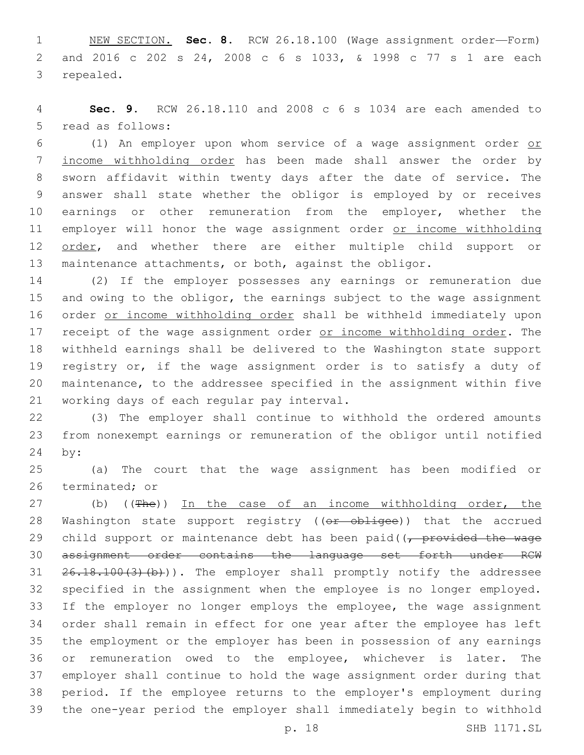NEW SECTION. **Sec. 8.** RCW 26.18.100 (Wage assignment order—Form) and 2016 c 202 s 24, 2008 c 6 s 1033, & 1998 c 77 s 1 are each repealed.

 **Sec. 9.** RCW 26.18.110 and 2008 c 6 s 1034 are each amended to 5 read as follows:

 (1) An employer upon whom service of a wage assignment order or income withholding order has been made shall answer the order by sworn affidavit within twenty days after the date of service. The answer shall state whether the obligor is employed by or receives 10 earnings or other remuneration from the employer, whether the 11 employer will honor the wage assignment order or income withholding 12 order, and whether there are either multiple child support or maintenance attachments, or both, against the obligor.

 (2) If the employer possesses any earnings or remuneration due and owing to the obligor, the earnings subject to the wage assignment order or income withholding order shall be withheld immediately upon 17 receipt of the wage assignment order or income withholding order. The withheld earnings shall be delivered to the Washington state support registry or, if the wage assignment order is to satisfy a duty of maintenance, to the addressee specified in the assignment within five 21 working days of each regular pay interval.

 (3) The employer shall continue to withhold the ordered amounts from nonexempt earnings or remuneration of the obligor until notified 24 by:

 (a) The court that the wage assignment has been modified or 26 terminated; or

27 (b) ((The)) In the case of an income withholding order, the 28 Washington state support registry ((or obligee)) that the accrued 29 child support or maintenance debt has been paid( $\sqrt{r}$  provided the wage assignment order contains the language set forth under RCW  $26.18.100(3)(b)$ ). The employer shall promptly notify the addressee specified in the assignment when the employee is no longer employed. If the employer no longer employs the employee, the wage assignment order shall remain in effect for one year after the employee has left the employment or the employer has been in possession of any earnings or remuneration owed to the employee, whichever is later. The employer shall continue to hold the wage assignment order during that period. If the employee returns to the employer's employment during the one-year period the employer shall immediately begin to withhold

p. 18 SHB 1171.SL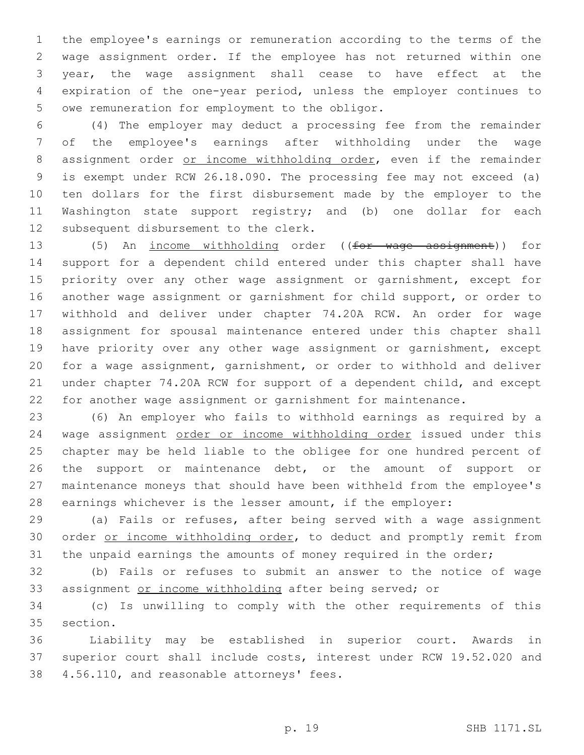the employee's earnings or remuneration according to the terms of the wage assignment order. If the employee has not returned within one year, the wage assignment shall cease to have effect at the expiration of the one-year period, unless the employer continues to 5 owe remuneration for employment to the obligor.

 (4) The employer may deduct a processing fee from the remainder of the employee's earnings after withholding under the wage 8 assignment order or income withholding order, even if the remainder is exempt under RCW 26.18.090. The processing fee may not exceed (a) ten dollars for the first disbursement made by the employer to the Washington state support registry; and (b) one dollar for each 12 subsequent disbursement to the clerk.

 (5) An income withholding order ((for wage assignment)) for support for a dependent child entered under this chapter shall have 15 priority over any other wage assignment or garnishment, except for another wage assignment or garnishment for child support, or order to withhold and deliver under chapter 74.20A RCW. An order for wage assignment for spousal maintenance entered under this chapter shall have priority over any other wage assignment or garnishment, except for a wage assignment, garnishment, or order to withhold and deliver under chapter 74.20A RCW for support of a dependent child, and except for another wage assignment or garnishment for maintenance.

 (6) An employer who fails to withhold earnings as required by a 24 wage assignment order or income withholding order issued under this chapter may be held liable to the obligee for one hundred percent of 26 the support or maintenance debt, or the amount of support or maintenance moneys that should have been withheld from the employee's earnings whichever is the lesser amount, if the employer:

 (a) Fails or refuses, after being served with a wage assignment 30 order or income withholding order, to deduct and promptly remit from 31 the unpaid earnings the amounts of money required in the order;

 (b) Fails or refuses to submit an answer to the notice of wage assignment or income withholding after being served; or

 (c) Is unwilling to comply with the other requirements of this 35 section.

 Liability may be established in superior court. Awards in superior court shall include costs, interest under RCW 19.52.020 and 38 4.56.110, and reasonable attorneys' fees.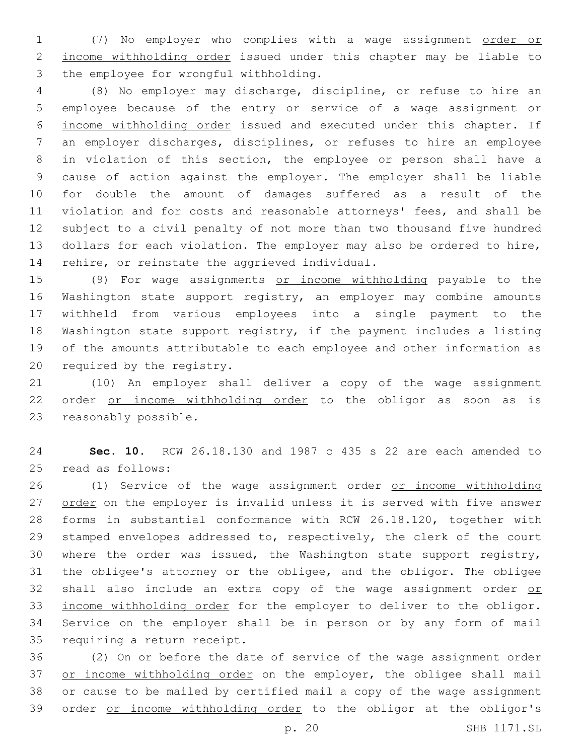(7) No employer who complies with a wage assignment order or income withholding order issued under this chapter may be liable to 3 the employee for wrongful withholding.

 (8) No employer may discharge, discipline, or refuse to hire an 5 employee because of the entry or service of a wage assignment or income withholding order issued and executed under this chapter. If an employer discharges, disciplines, or refuses to hire an employee in violation of this section, the employee or person shall have a cause of action against the employer. The employer shall be liable for double the amount of damages suffered as a result of the violation and for costs and reasonable attorneys' fees, and shall be subject to a civil penalty of not more than two thousand five hundred dollars for each violation. The employer may also be ordered to hire, 14 rehire, or reinstate the aggrieved individual.

 (9) For wage assignments or income withholding payable to the Washington state support registry, an employer may combine amounts withheld from various employees into a single payment to the Washington state support registry, if the payment includes a listing of the amounts attributable to each employee and other information as 20 required by the registry.

 (10) An employer shall deliver a copy of the wage assignment order or income withholding order to the obligor as soon as is 23 reasonably possible.

 **Sec. 10.** RCW 26.18.130 and 1987 c 435 s 22 are each amended to 25 read as follows:

 (1) Service of the wage assignment order or income withholding 27 order on the employer is invalid unless it is served with five answer forms in substantial conformance with RCW 26.18.120, together with stamped envelopes addressed to, respectively, the clerk of the court where the order was issued, the Washington state support registry, the obligee's attorney or the obligee, and the obligor. The obligee 32 shall also include an extra copy of the wage assignment order or income withholding order for the employer to deliver to the obligor. Service on the employer shall be in person or by any form of mail 35 requiring a return receipt.

 (2) On or before the date of service of the wage assignment order 37 or income withholding order on the employer, the obligee shall mail or cause to be mailed by certified mail a copy of the wage assignment order or income withholding order to the obligor at the obligor's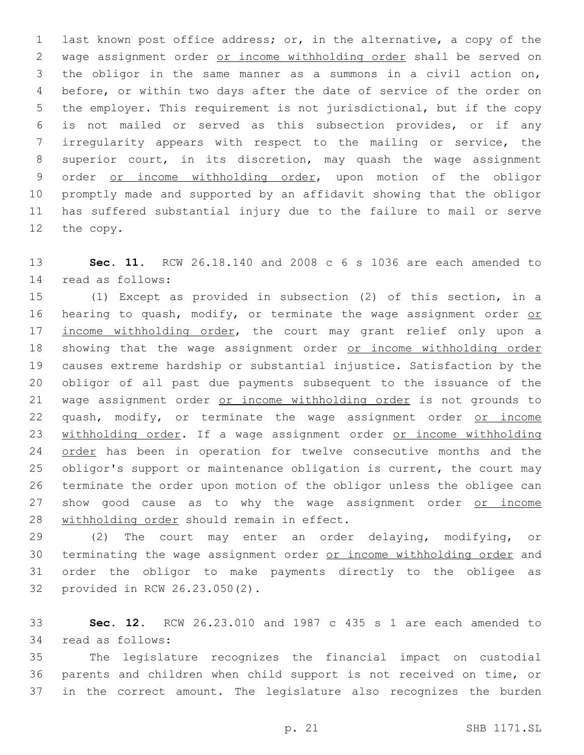last known post office address; or, in the alternative, a copy of the wage assignment order or income withholding order shall be served on the obligor in the same manner as a summons in a civil action on, before, or within two days after the date of service of the order on the employer. This requirement is not jurisdictional, but if the copy is not mailed or served as this subsection provides, or if any irregularity appears with respect to the mailing or service, the superior court, in its discretion, may quash the wage assignment order or income withholding order, upon motion of the obligor promptly made and supported by an affidavit showing that the obligor has suffered substantial injury due to the failure to mail or serve 12 the copy.

 **Sec. 11.** RCW 26.18.140 and 2008 c 6 s 1036 are each amended to read as follows:14

 (1) Except as provided in subsection (2) of this section, in a 16 hearing to quash, modify, or terminate the wage assignment order or 17 income withholding order, the court may grant relief only upon a 18 showing that the wage assignment order or income withholding order causes extreme hardship or substantial injustice. Satisfaction by the obligor of all past due payments subsequent to the issuance of the wage assignment order or income withholding order is not grounds to 22 quash, modify, or terminate the wage assignment order or income 23 withholding order. If a wage assignment order or income withholding 24 order has been in operation for twelve consecutive months and the obligor's support or maintenance obligation is current, the court may terminate the order upon motion of the obligor unless the obligee can 27 show good cause as to why the wage assignment order or income 28 withholding order should remain in effect.

 (2) The court may enter an order delaying, modifying, or 30 terminating the wage assignment order or income withholding order and order the obligor to make payments directly to the obligee as 32 provided in RCW 26.23.050(2).

 **Sec. 12.** RCW 26.23.010 and 1987 c 435 s 1 are each amended to 34 read as follows:

 The legislature recognizes the financial impact on custodial parents and children when child support is not received on time, or in the correct amount. The legislature also recognizes the burden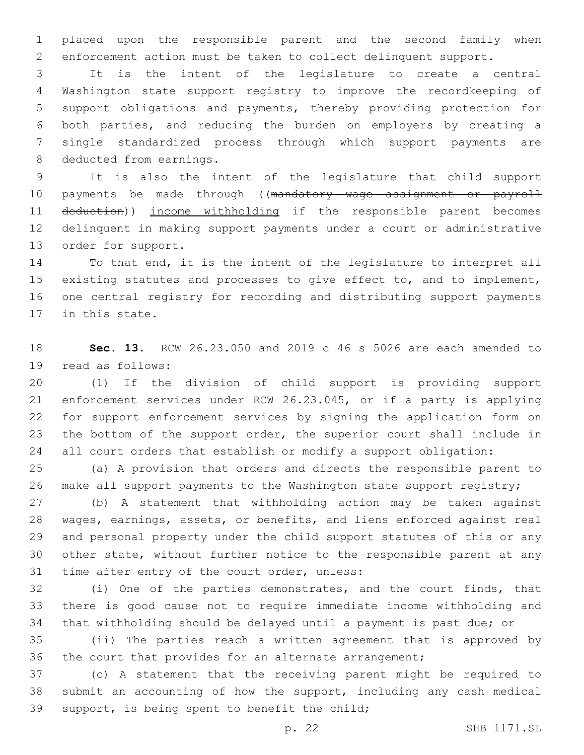placed upon the responsible parent and the second family when enforcement action must be taken to collect delinquent support.

 It is the intent of the legislature to create a central Washington state support registry to improve the recordkeeping of support obligations and payments, thereby providing protection for both parties, and reducing the burden on employers by creating a single standardized process through which support payments are 8 deducted from earnings.

 It is also the intent of the legislature that child support 10 payments be made through ((mandatory wage assignment or payroll deduction)) income withholding if the responsible parent becomes delinquent in making support payments under a court or administrative 13 order for support.

 To that end, it is the intent of the legislature to interpret all existing statutes and processes to give effect to, and to implement, one central registry for recording and distributing support payments 17 in this state.

 **Sec. 13.** RCW 26.23.050 and 2019 c 46 s 5026 are each amended to 19 read as follows:

 (1) If the division of child support is providing support enforcement services under RCW 26.23.045, or if a party is applying for support enforcement services by signing the application form on the bottom of the support order, the superior court shall include in all court orders that establish or modify a support obligation:

 (a) A provision that orders and directs the responsible parent to 26 make all support payments to the Washington state support registry;

 (b) A statement that withholding action may be taken against wages, earnings, assets, or benefits, and liens enforced against real and personal property under the child support statutes of this or any other state, without further notice to the responsible parent at any 31 time after entry of the court order, unless:

 (i) One of the parties demonstrates, and the court finds, that there is good cause not to require immediate income withholding and that withholding should be delayed until a payment is past due; or

 (ii) The parties reach a written agreement that is approved by the court that provides for an alternate arrangement;

 (c) A statement that the receiving parent might be required to submit an accounting of how the support, including any cash medical 39 support, is being spent to benefit the child;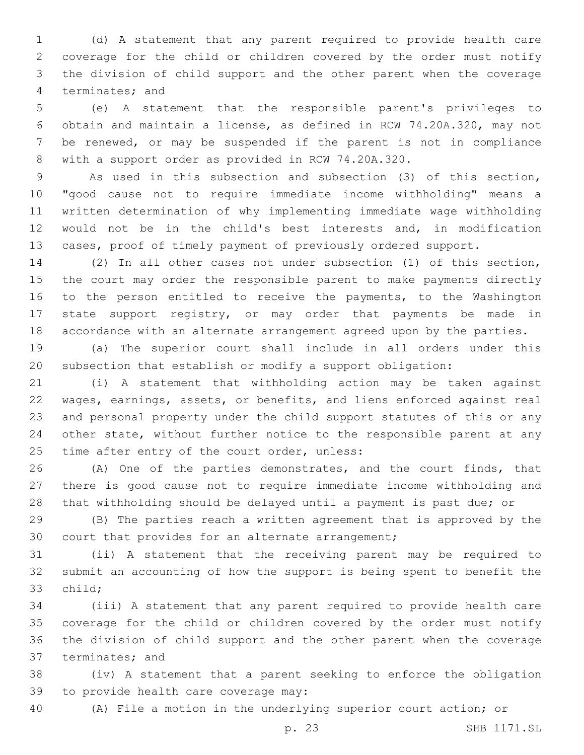(d) A statement that any parent required to provide health care coverage for the child or children covered by the order must notify the division of child support and the other parent when the coverage 4 terminates; and

 (e) A statement that the responsible parent's privileges to obtain and maintain a license, as defined in RCW 74.20A.320, may not be renewed, or may be suspended if the parent is not in compliance with a support order as provided in RCW 74.20A.320.

 As used in this subsection and subsection (3) of this section, "good cause not to require immediate income withholding" means a written determination of why implementing immediate wage withholding would not be in the child's best interests and, in modification cases, proof of timely payment of previously ordered support.

 (2) In all other cases not under subsection (1) of this section, the court may order the responsible parent to make payments directly 16 to the person entitled to receive the payments, to the Washington state support registry, or may order that payments be made in accordance with an alternate arrangement agreed upon by the parties.

 (a) The superior court shall include in all orders under this subsection that establish or modify a support obligation:

 (i) A statement that withholding action may be taken against wages, earnings, assets, or benefits, and liens enforced against real and personal property under the child support statutes of this or any other state, without further notice to the responsible parent at any 25 time after entry of the court order, unless:

 (A) One of the parties demonstrates, and the court finds, that there is good cause not to require immediate income withholding and that withholding should be delayed until a payment is past due; or

 (B) The parties reach a written agreement that is approved by the 30 court that provides for an alternate arrangement;

 (ii) A statement that the receiving parent may be required to submit an accounting of how the support is being spent to benefit the 33 child;

 (iii) A statement that any parent required to provide health care coverage for the child or children covered by the order must notify the division of child support and the other parent when the coverage 37 terminates; and

 (iv) A statement that a parent seeking to enforce the obligation 39 to provide health care coverage may:

(A) File a motion in the underlying superior court action; or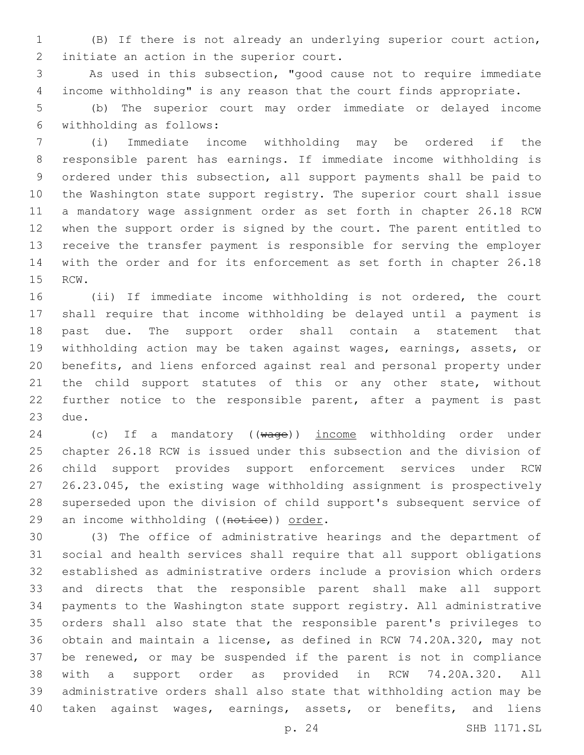(B) If there is not already an underlying superior court action, 2 initiate an action in the superior court.

 As used in this subsection, "good cause not to require immediate income withholding" is any reason that the court finds appropriate.

 (b) The superior court may order immediate or delayed income withholding as follows:6

 (i) Immediate income withholding may be ordered if the responsible parent has earnings. If immediate income withholding is ordered under this subsection, all support payments shall be paid to the Washington state support registry. The superior court shall issue a mandatory wage assignment order as set forth in chapter 26.18 RCW when the support order is signed by the court. The parent entitled to receive the transfer payment is responsible for serving the employer with the order and for its enforcement as set forth in chapter 26.18 15 RCW.

 (ii) If immediate income withholding is not ordered, the court shall require that income withholding be delayed until a payment is past due. The support order shall contain a statement that withholding action may be taken against wages, earnings, assets, or benefits, and liens enforced against real and personal property under 21 the child support statutes of this or any other state, without further notice to the responsible parent, after a payment is past 23 due.

24 (c) If a mandatory ((wage)) income withholding order under chapter 26.18 RCW is issued under this subsection and the division of child support provides support enforcement services under RCW 26.23.045, the existing wage withholding assignment is prospectively superseded upon the division of child support's subsequent service of 29 an income withholding ((notice)) order.

 (3) The office of administrative hearings and the department of social and health services shall require that all support obligations established as administrative orders include a provision which orders and directs that the responsible parent shall make all support payments to the Washington state support registry. All administrative orders shall also state that the responsible parent's privileges to obtain and maintain a license, as defined in RCW 74.20A.320, may not be renewed, or may be suspended if the parent is not in compliance with a support order as provided in RCW 74.20A.320. All administrative orders shall also state that withholding action may be taken against wages, earnings, assets, or benefits, and liens

p. 24 SHB 1171.SL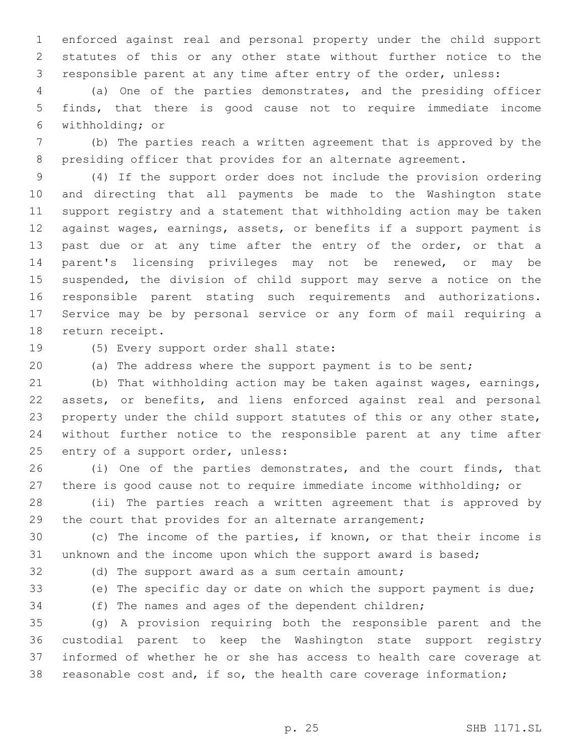enforced against real and personal property under the child support statutes of this or any other state without further notice to the responsible parent at any time after entry of the order, unless:

 (a) One of the parties demonstrates, and the presiding officer finds, that there is good cause not to require immediate income withholding; or6

 (b) The parties reach a written agreement that is approved by the 8 presiding officer that provides for an alternate agreement.

 (4) If the support order does not include the provision ordering and directing that all payments be made to the Washington state support registry and a statement that withholding action may be taken against wages, earnings, assets, or benefits if a support payment is 13 past due or at any time after the entry of the order, or that a parent's licensing privileges may not be renewed, or may be suspended, the division of child support may serve a notice on the responsible parent stating such requirements and authorizations. Service may be by personal service or any form of mail requiring a 18 return receipt.

19 (5) Every support order shall state:

(a) The address where the support payment is to be sent;

 (b) That withholding action may be taken against wages, earnings, assets, or benefits, and liens enforced against real and personal property under the child support statutes of this or any other state, without further notice to the responsible parent at any time after 25 entry of a support order, unless:

 (i) One of the parties demonstrates, and the court finds, that there is good cause not to require immediate income withholding; or

 (ii) The parties reach a written agreement that is approved by 29 the court that provides for an alternate arrangement;

 (c) The income of the parties, if known, or that their income is unknown and the income upon which the support award is based;

(d) The support award as a sum certain amount;

(e) The specific day or date on which the support payment is due;

(f) The names and ages of the dependent children;

 (g) A provision requiring both the responsible parent and the custodial parent to keep the Washington state support registry informed of whether he or she has access to health care coverage at reasonable cost and, if so, the health care coverage information;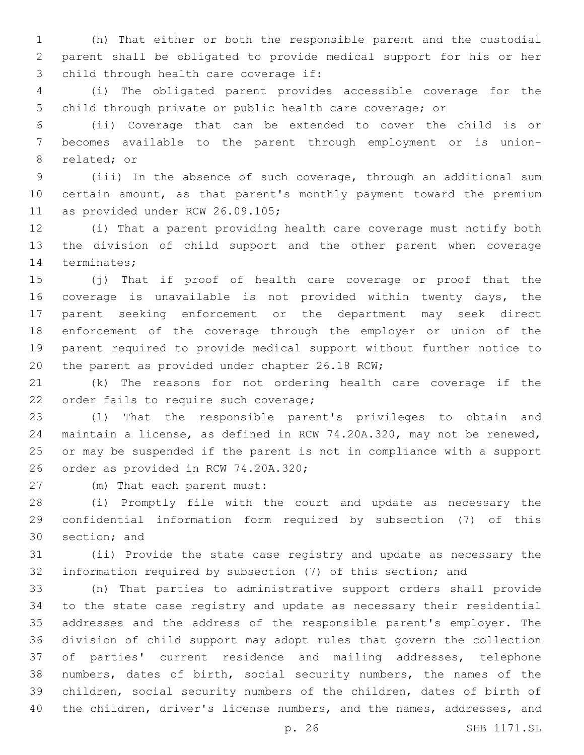(h) That either or both the responsible parent and the custodial parent shall be obligated to provide medical support for his or her 3 child through health care coverage if:

 (i) The obligated parent provides accessible coverage for the child through private or public health care coverage; or

 (ii) Coverage that can be extended to cover the child is or becomes available to the parent through employment or is union-8 related; or

 (iii) In the absence of such coverage, through an additional sum certain amount, as that parent's monthly payment toward the premium 11 as provided under RCW 26.09.105;

 (i) That a parent providing health care coverage must notify both the division of child support and the other parent when coverage 14 terminates;

 (j) That if proof of health care coverage or proof that the coverage is unavailable is not provided within twenty days, the parent seeking enforcement or the department may seek direct enforcement of the coverage through the employer or union of the parent required to provide medical support without further notice to 20 the parent as provided under chapter 26.18 RCW;

 (k) The reasons for not ordering health care coverage if the 22 order fails to require such coverage;

 (l) That the responsible parent's privileges to obtain and maintain a license, as defined in RCW 74.20A.320, may not be renewed, or may be suspended if the parent is not in compliance with a support 26 order as provided in RCW 74.20A.320;

(m) That each parent must:27

 (i) Promptly file with the court and update as necessary the confidential information form required by subsection (7) of this 30 section; and

 (ii) Provide the state case registry and update as necessary the information required by subsection (7) of this section; and

 (n) That parties to administrative support orders shall provide to the state case registry and update as necessary their residential addresses and the address of the responsible parent's employer. The division of child support may adopt rules that govern the collection of parties' current residence and mailing addresses, telephone numbers, dates of birth, social security numbers, the names of the children, social security numbers of the children, dates of birth of the children, driver's license numbers, and the names, addresses, and

p. 26 SHB 1171.SL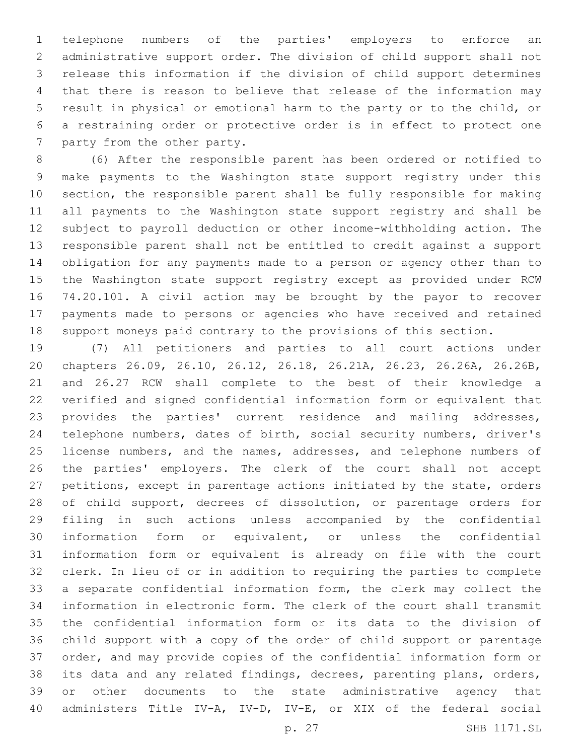telephone numbers of the parties' employers to enforce an administrative support order. The division of child support shall not release this information if the division of child support determines that there is reason to believe that release of the information may result in physical or emotional harm to the party or to the child, or a restraining order or protective order is in effect to protect one 7 party from the other party.

 (6) After the responsible parent has been ordered or notified to make payments to the Washington state support registry under this section, the responsible parent shall be fully responsible for making all payments to the Washington state support registry and shall be subject to payroll deduction or other income-withholding action. The responsible parent shall not be entitled to credit against a support obligation for any payments made to a person or agency other than to the Washington state support registry except as provided under RCW 74.20.101. A civil action may be brought by the payor to recover payments made to persons or agencies who have received and retained support moneys paid contrary to the provisions of this section.

 (7) All petitioners and parties to all court actions under chapters 26.09, 26.10, 26.12, 26.18, 26.21A, 26.23, 26.26A, 26.26B, and 26.27 RCW shall complete to the best of their knowledge a verified and signed confidential information form or equivalent that provides the parties' current residence and mailing addresses, telephone numbers, dates of birth, social security numbers, driver's 25 license numbers, and the names, addresses, and telephone numbers of the parties' employers. The clerk of the court shall not accept petitions, except in parentage actions initiated by the state, orders 28 of child support, decrees of dissolution, or parentage orders for filing in such actions unless accompanied by the confidential information form or equivalent, or unless the confidential information form or equivalent is already on file with the court clerk. In lieu of or in addition to requiring the parties to complete a separate confidential information form, the clerk may collect the information in electronic form. The clerk of the court shall transmit the confidential information form or its data to the division of child support with a copy of the order of child support or parentage order, and may provide copies of the confidential information form or its data and any related findings, decrees, parenting plans, orders, or other documents to the state administrative agency that administers Title IV-A, IV-D, IV-E, or XIX of the federal social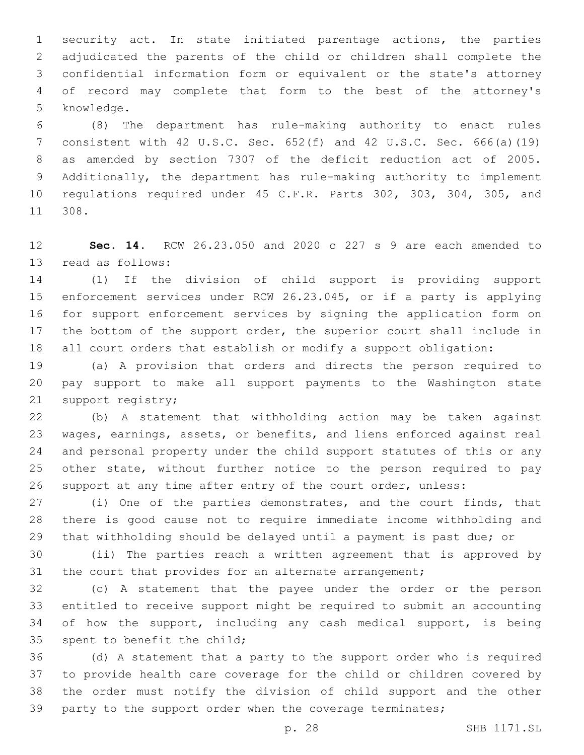security act. In state initiated parentage actions, the parties adjudicated the parents of the child or children shall complete the confidential information form or equivalent or the state's attorney of record may complete that form to the best of the attorney's 5 knowledge.

 (8) The department has rule-making authority to enact rules consistent with 42 U.S.C. Sec. 652(f) and 42 U.S.C. Sec. 666(a)(19) as amended by section 7307 of the deficit reduction act of 2005. Additionally, the department has rule-making authority to implement regulations required under 45 C.F.R. Parts 302, 303, 304, 305, and 308.11

 **Sec. 14.** RCW 26.23.050 and 2020 c 227 s 9 are each amended to 13 read as follows:

 (1) If the division of child support is providing support enforcement services under RCW 26.23.045, or if a party is applying for support enforcement services by signing the application form on the bottom of the support order, the superior court shall include in all court orders that establish or modify a support obligation:

 (a) A provision that orders and directs the person required to pay support to make all support payments to the Washington state 21 support registry;

 (b) A statement that withholding action may be taken against wages, earnings, assets, or benefits, and liens enforced against real and personal property under the child support statutes of this or any other state, without further notice to the person required to pay support at any time after entry of the court order, unless:

 (i) One of the parties demonstrates, and the court finds, that there is good cause not to require immediate income withholding and that withholding should be delayed until a payment is past due; or

 (ii) The parties reach a written agreement that is approved by 31 the court that provides for an alternate arrangement;

 (c) A statement that the payee under the order or the person entitled to receive support might be required to submit an accounting 34 of how the support, including any cash medical support, is being 35 spent to benefit the child;

 (d) A statement that a party to the support order who is required to provide health care coverage for the child or children covered by the order must notify the division of child support and the other 39 party to the support order when the coverage terminates;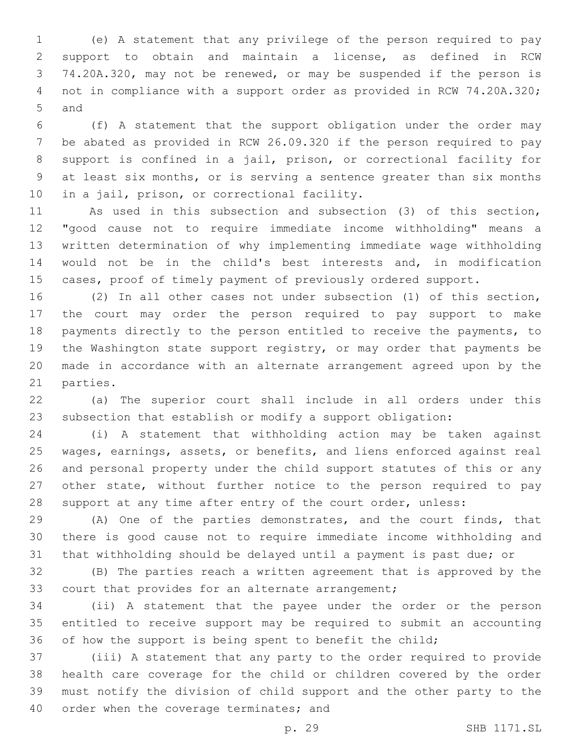(e) A statement that any privilege of the person required to pay support to obtain and maintain a license, as defined in RCW 74.20A.320, may not be renewed, or may be suspended if the person is 4 not in compliance with a support order as provided in RCW 74.20A.320; 5 and

 (f) A statement that the support obligation under the order may be abated as provided in RCW 26.09.320 if the person required to pay support is confined in a jail, prison, or correctional facility for at least six months, or is serving a sentence greater than six months 10 in a jail, prison, or correctional facility.

 As used in this subsection and subsection (3) of this section, "good cause not to require immediate income withholding" means a written determination of why implementing immediate wage withholding would not be in the child's best interests and, in modification cases, proof of timely payment of previously ordered support.

 (2) In all other cases not under subsection (1) of this section, the court may order the person required to pay support to make payments directly to the person entitled to receive the payments, to the Washington state support registry, or may order that payments be made in accordance with an alternate arrangement agreed upon by the 21 parties.

 (a) The superior court shall include in all orders under this subsection that establish or modify a support obligation:

 (i) A statement that withholding action may be taken against wages, earnings, assets, or benefits, and liens enforced against real and personal property under the child support statutes of this or any other state, without further notice to the person required to pay support at any time after entry of the court order, unless:

 (A) One of the parties demonstrates, and the court finds, that there is good cause not to require immediate income withholding and that withholding should be delayed until a payment is past due; or

 (B) The parties reach a written agreement that is approved by the 33 court that provides for an alternate arrangement;

 (ii) A statement that the payee under the order or the person entitled to receive support may be required to submit an accounting 36 of how the support is being spent to benefit the child;

 (iii) A statement that any party to the order required to provide health care coverage for the child or children covered by the order must notify the division of child support and the other party to the 40 order when the coverage terminates; and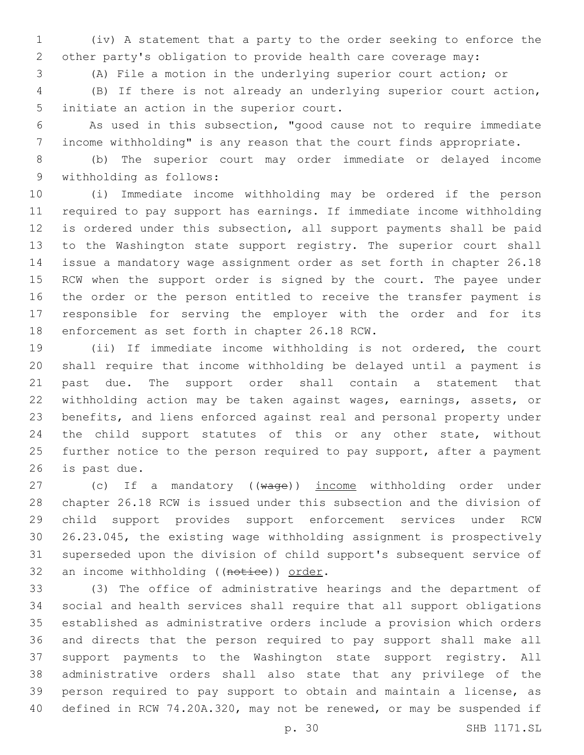(iv) A statement that a party to the order seeking to enforce the other party's obligation to provide health care coverage may:

(A) File a motion in the underlying superior court action; or

 (B) If there is not already an underlying superior court action, 5 initiate an action in the superior court.

 As used in this subsection, "good cause not to require immediate income withholding" is any reason that the court finds appropriate.

 (b) The superior court may order immediate or delayed income 9 withholding as follows:

 (i) Immediate income withholding may be ordered if the person required to pay support has earnings. If immediate income withholding is ordered under this subsection, all support payments shall be paid to the Washington state support registry. The superior court shall issue a mandatory wage assignment order as set forth in chapter 26.18 15 RCW when the support order is signed by the court. The payee under the order or the person entitled to receive the transfer payment is responsible for serving the employer with the order and for its 18 enforcement as set forth in chapter 26.18 RCW.

 (ii) If immediate income withholding is not ordered, the court shall require that income withholding be delayed until a payment is past due. The support order shall contain a statement that withholding action may be taken against wages, earnings, assets, or benefits, and liens enforced against real and personal property under the child support statutes of this or any other state, without 25 further notice to the person required to pay support, after a payment 26 is past due.

27 (c) If a mandatory ((wage)) income withholding order under chapter 26.18 RCW is issued under this subsection and the division of child support provides support enforcement services under RCW 26.23.045, the existing wage withholding assignment is prospectively superseded upon the division of child support's subsequent service of 32 an income withholding ((notice)) order.

 (3) The office of administrative hearings and the department of social and health services shall require that all support obligations established as administrative orders include a provision which orders and directs that the person required to pay support shall make all support payments to the Washington state support registry. All administrative orders shall also state that any privilege of the person required to pay support to obtain and maintain a license, as defined in RCW 74.20A.320, may not be renewed, or may be suspended if

p. 30 SHB 1171.SL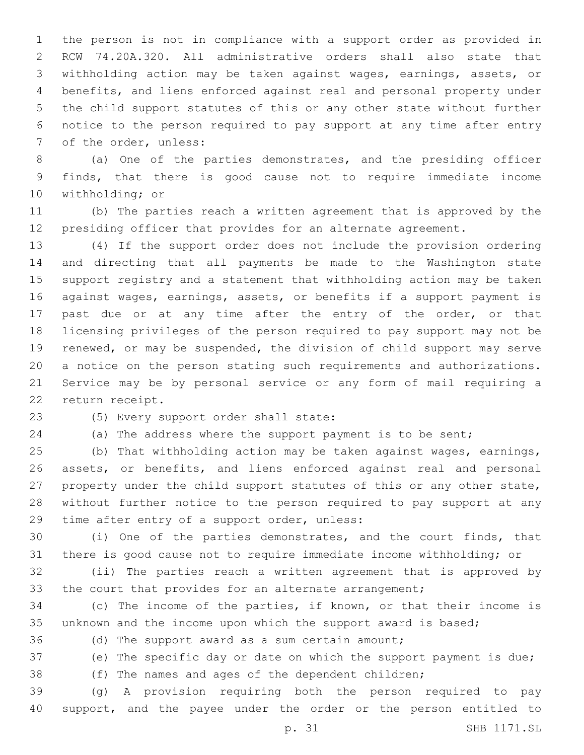the person is not in compliance with a support order as provided in RCW 74.20A.320. All administrative orders shall also state that withholding action may be taken against wages, earnings, assets, or benefits, and liens enforced against real and personal property under the child support statutes of this or any other state without further notice to the person required to pay support at any time after entry 7 of the order, unless:

 (a) One of the parties demonstrates, and the presiding officer finds, that there is good cause not to require immediate income 10 withholding; or

 (b) The parties reach a written agreement that is approved by the presiding officer that provides for an alternate agreement.

 (4) If the support order does not include the provision ordering and directing that all payments be made to the Washington state support registry and a statement that withholding action may be taken against wages, earnings, assets, or benefits if a support payment is 17 past due or at any time after the entry of the order, or that licensing privileges of the person required to pay support may not be renewed, or may be suspended, the division of child support may serve a notice on the person stating such requirements and authorizations. Service may be by personal service or any form of mail requiring a 22 return receipt.

23 (5) Every support order shall state:

(a) The address where the support payment is to be sent;

 (b) That withholding action may be taken against wages, earnings, assets, or benefits, and liens enforced against real and personal property under the child support statutes of this or any other state, without further notice to the person required to pay support at any 29 time after entry of a support order, unless:

 (i) One of the parties demonstrates, and the court finds, that there is good cause not to require immediate income withholding; or

 (ii) The parties reach a written agreement that is approved by 33 the court that provides for an alternate arrangement;

 (c) The income of the parties, if known, or that their income is unknown and the income upon which the support award is based;

(d) The support award as a sum certain amount;

(e) The specific day or date on which the support payment is due;

(f) The names and ages of the dependent children;

 (g) A provision requiring both the person required to pay support, and the payee under the order or the person entitled to

p. 31 SHB 1171.SL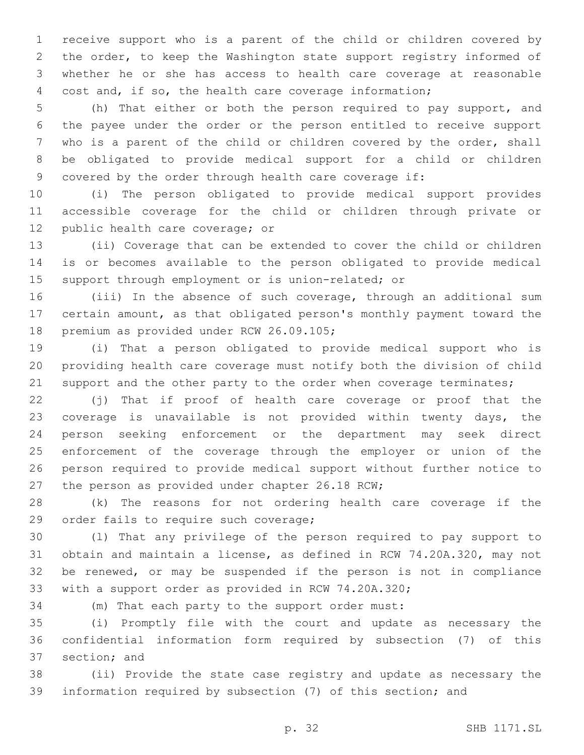receive support who is a parent of the child or children covered by the order, to keep the Washington state support registry informed of whether he or she has access to health care coverage at reasonable cost and, if so, the health care coverage information;

 (h) That either or both the person required to pay support, and the payee under the order or the person entitled to receive support who is a parent of the child or children covered by the order, shall be obligated to provide medical support for a child or children covered by the order through health care coverage if:

 (i) The person obligated to provide medical support provides accessible coverage for the child or children through private or 12 public health care coverage; or

 (ii) Coverage that can be extended to cover the child or children is or becomes available to the person obligated to provide medical support through employment or is union-related; or

 (iii) In the absence of such coverage, through an additional sum certain amount, as that obligated person's monthly payment toward the 18 premium as provided under RCW 26.09.105;

 (i) That a person obligated to provide medical support who is providing health care coverage must notify both the division of child 21 support and the other party to the order when coverage terminates;

 (j) That if proof of health care coverage or proof that the coverage is unavailable is not provided within twenty days, the person seeking enforcement or the department may seek direct enforcement of the coverage through the employer or union of the person required to provide medical support without further notice to 27 the person as provided under chapter 26.18 RCW;

 (k) The reasons for not ordering health care coverage if the 29 order fails to require such coverage;

 (l) That any privilege of the person required to pay support to obtain and maintain a license, as defined in RCW 74.20A.320, may not be renewed, or may be suspended if the person is not in compliance with a support order as provided in RCW 74.20A.320;

(m) That each party to the support order must:

 (i) Promptly file with the court and update as necessary the confidential information form required by subsection (7) of this 37 section; and

 (ii) Provide the state case registry and update as necessary the information required by subsection (7) of this section; and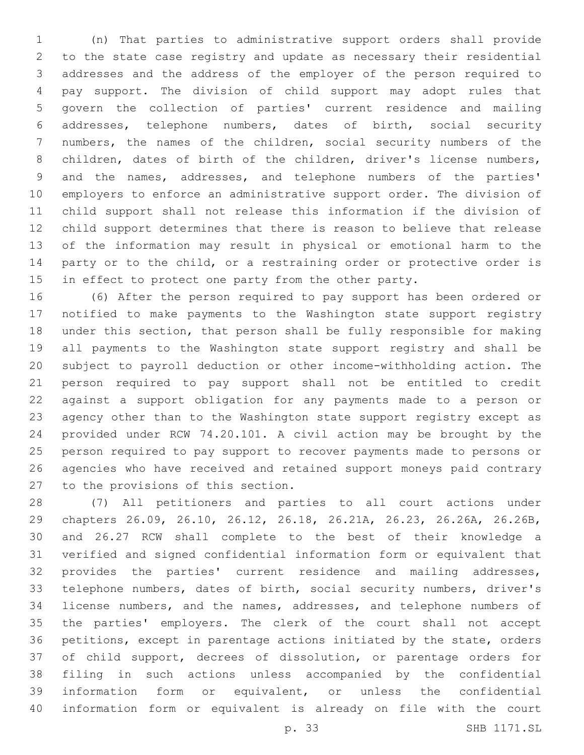(n) That parties to administrative support orders shall provide to the state case registry and update as necessary their residential addresses and the address of the employer of the person required to pay support. The division of child support may adopt rules that govern the collection of parties' current residence and mailing addresses, telephone numbers, dates of birth, social security numbers, the names of the children, social security numbers of the 8 children, dates of birth of the children, driver's license numbers, and the names, addresses, and telephone numbers of the parties' employers to enforce an administrative support order. The division of child support shall not release this information if the division of child support determines that there is reason to believe that release of the information may result in physical or emotional harm to the party or to the child, or a restraining order or protective order is 15 in effect to protect one party from the other party.

 (6) After the person required to pay support has been ordered or notified to make payments to the Washington state support registry under this section, that person shall be fully responsible for making all payments to the Washington state support registry and shall be subject to payroll deduction or other income-withholding action. The person required to pay support shall not be entitled to credit against a support obligation for any payments made to a person or agency other than to the Washington state support registry except as provided under RCW 74.20.101. A civil action may be brought by the person required to pay support to recover payments made to persons or agencies who have received and retained support moneys paid contrary 27 to the provisions of this section.

 (7) All petitioners and parties to all court actions under chapters 26.09, 26.10, 26.12, 26.18, 26.21A, 26.23, 26.26A, 26.26B, and 26.27 RCW shall complete to the best of their knowledge a verified and signed confidential information form or equivalent that provides the parties' current residence and mailing addresses, telephone numbers, dates of birth, social security numbers, driver's license numbers, and the names, addresses, and telephone numbers of the parties' employers. The clerk of the court shall not accept petitions, except in parentage actions initiated by the state, orders of child support, decrees of dissolution, or parentage orders for filing in such actions unless accompanied by the confidential information form or equivalent, or unless the confidential information form or equivalent is already on file with the court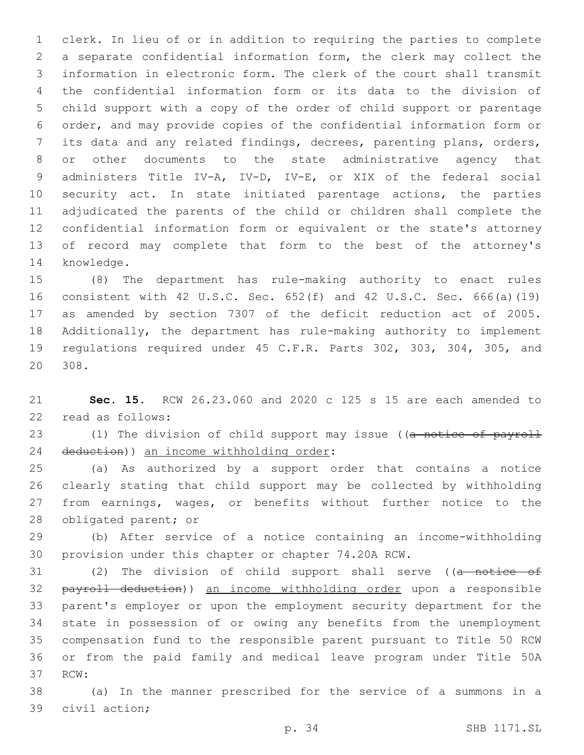clerk. In lieu of or in addition to requiring the parties to complete a separate confidential information form, the clerk may collect the information in electronic form. The clerk of the court shall transmit the confidential information form or its data to the division of child support with a copy of the order of child support or parentage order, and may provide copies of the confidential information form or its data and any related findings, decrees, parenting plans, orders, or other documents to the state administrative agency that administers Title IV-A, IV-D, IV-E, or XIX of the federal social security act. In state initiated parentage actions, the parties adjudicated the parents of the child or children shall complete the confidential information form or equivalent or the state's attorney of record may complete that form to the best of the attorney's 14 knowledge.

 (8) The department has rule-making authority to enact rules consistent with 42 U.S.C. Sec. 652(f) and 42 U.S.C. Sec. 666(a)(19) as amended by section 7307 of the deficit reduction act of 2005. Additionally, the department has rule-making authority to implement regulations required under 45 C.F.R. Parts 302, 303, 304, 305, and 20 308.

 **Sec. 15.** RCW 26.23.060 and 2020 c 125 s 15 are each amended to 22 read as follows:

23 (1) The division of child support may issue ((a notice of payroll 24 deduction)) an income withholding order:

 (a) As authorized by a support order that contains a notice clearly stating that child support may be collected by withholding from earnings, wages, or benefits without further notice to the 28 obligated parent; or

 (b) After service of a notice containing an income-withholding provision under this chapter or chapter 74.20A RCW.

31 (2) The division of child support shall serve ((a notice of payroll deduction)) an income withholding order upon a responsible parent's employer or upon the employment security department for the state in possession of or owing any benefits from the unemployment compensation fund to the responsible parent pursuant to Title 50 RCW or from the paid family and medical leave program under Title 50A 37 RCW:

 (a) In the manner prescribed for the service of a summons in a 39 civil action;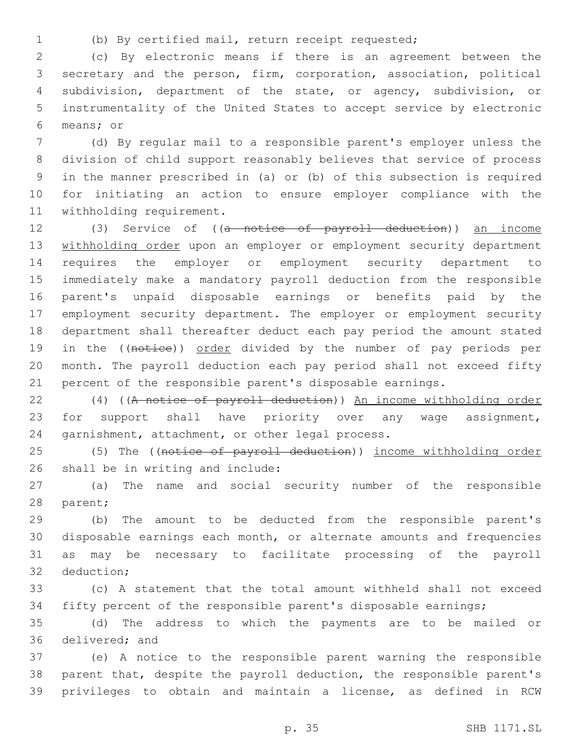(b) By certified mail, return receipt requested;

 (c) By electronic means if there is an agreement between the secretary and the person, firm, corporation, association, political subdivision, department of the state, or agency, subdivision, or instrumentality of the United States to accept service by electronic means; or6

 (d) By regular mail to a responsible parent's employer unless the division of child support reasonably believes that service of process in the manner prescribed in (a) or (b) of this subsection is required for initiating an action to ensure employer compliance with the 11 withholding requirement.

 (3) Service of ((a notice of payroll deduction)) an income 13 withholding order upon an employer or employment security department requires the employer or employment security department to immediately make a mandatory payroll deduction from the responsible parent's unpaid disposable earnings or benefits paid by the employment security department. The employer or employment security department shall thereafter deduct each pay period the amount stated 19 in the ((notice)) order divided by the number of pay periods per month. The payroll deduction each pay period shall not exceed fifty percent of the responsible parent's disposable earnings.

 (4) ((A notice of payroll deduction)) An income withholding order for support shall have priority over any wage assignment, 24 garnishment, attachment, or other legal process.

25 (5) The ((notice of payroll deduction)) income withholding order 26 shall be in writing and include:

 (a) The name and social security number of the responsible 28 parent;

 (b) The amount to be deducted from the responsible parent's disposable earnings each month, or alternate amounts and frequencies as may be necessary to facilitate processing of the payroll 32 deduction:

 (c) A statement that the total amount withheld shall not exceed fifty percent of the responsible parent's disposable earnings;

 (d) The address to which the payments are to be mailed or 36 delivered; and

 (e) A notice to the responsible parent warning the responsible parent that, despite the payroll deduction, the responsible parent's privileges to obtain and maintain a license, as defined in RCW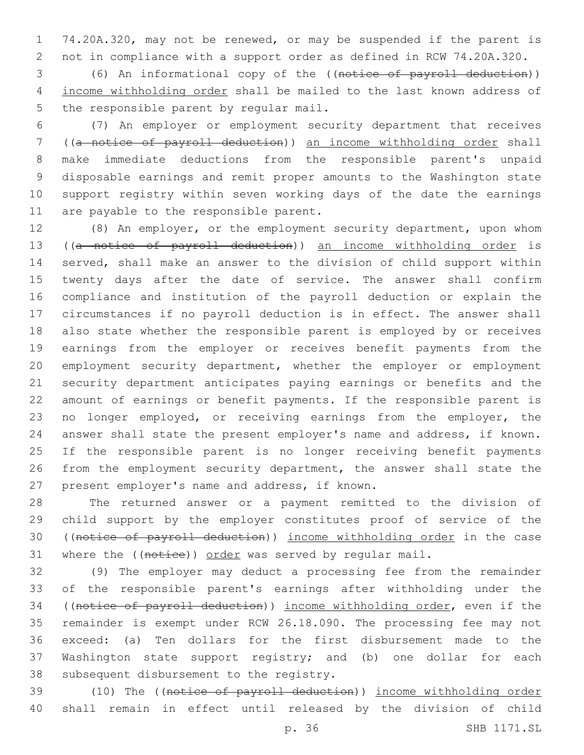74.20A.320, may not be renewed, or may be suspended if the parent is not in compliance with a support order as defined in RCW 74.20A.320.

 (6) An informational copy of the ((notice of payroll deduction)) income withholding order shall be mailed to the last known address of 5 the responsible parent by regular mail.

 (7) An employer or employment security department that receives ((a notice of payroll deduction)) an income withholding order shall make immediate deductions from the responsible parent's unpaid disposable earnings and remit proper amounts to the Washington state support registry within seven working days of the date the earnings 11 are payable to the responsible parent.

 (8) An employer, or the employment security department, upon whom ((a notice of payroll deduction)) an income withholding order is served, shall make an answer to the division of child support within 15 twenty days after the date of service. The answer shall confirm compliance and institution of the payroll deduction or explain the circumstances if no payroll deduction is in effect. The answer shall also state whether the responsible parent is employed by or receives earnings from the employer or receives benefit payments from the 20 employment security department, whether the employer or employment security department anticipates paying earnings or benefits and the amount of earnings or benefit payments. If the responsible parent is no longer employed, or receiving earnings from the employer, the answer shall state the present employer's name and address, if known. If the responsible parent is no longer receiving benefit payments from the employment security department, the answer shall state the 27 present employer's name and address, if known.

 The returned answer or a payment remitted to the division of child support by the employer constitutes proof of service of the ((notice of payroll deduction)) income withholding order in the case 31 where the ((notice)) order was served by regular mail.

 (9) The employer may deduct a processing fee from the remainder of the responsible parent's earnings after withholding under the ((notice of payroll deduction)) income withholding order, even if the remainder is exempt under RCW 26.18.090. The processing fee may not exceed: (a) Ten dollars for the first disbursement made to the Washington state support registry; and (b) one dollar for each 38 subsequent disbursement to the registry.

39 (10) The ((notice of payroll deduction)) income withholding order shall remain in effect until released by the division of child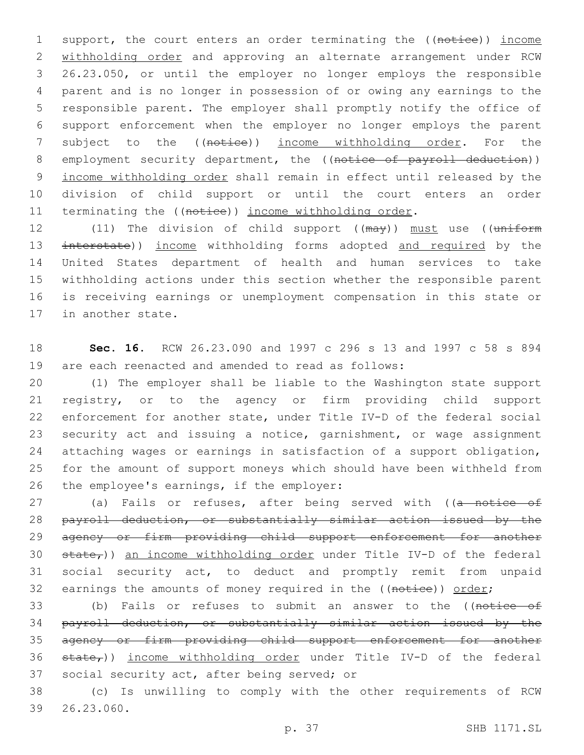1 support, the court enters an order terminating the ((notice)) income 2 withholding order and approving an alternate arrangement under RCW 3 26.23.050, or until the employer no longer employs the responsible 4 parent and is no longer in possession of or owing any earnings to the 5 responsible parent. The employer shall promptly notify the office of 6 support enforcement when the employer no longer employs the parent 7 subject to the ((notice)) income withholding order. For the 8 employment security department, the ((notice of payroll deduction)) 9 income withholding order shall remain in effect until released by the 10 division of child support or until the court enters an order 11 terminating the ((notice)) income withholding order.

12 (11) The division of child support ((may)) must use ((uniform 13 interstate)) income withholding forms adopted and required by the 14 United States department of health and human services to take 15 withholding actions under this section whether the responsible parent 16 is receiving earnings or unemployment compensation in this state or 17 in another state.

18 **Sec. 16.** RCW 26.23.090 and 1997 c 296 s 13 and 1997 c 58 s 894 19 are each reenacted and amended to read as follows:

 (1) The employer shall be liable to the Washington state support registry, or to the agency or firm providing child support enforcement for another state, under Title IV-D of the federal social security act and issuing a notice, garnishment, or wage assignment attaching wages or earnings in satisfaction of a support obligation, for the amount of support moneys which should have been withheld from 26 the employee's earnings, if the employer:

27 (a) Fails or refuses, after being served with ((a notice of 28 payroll deduction, or substantially similar action issued by the 29 agency or firm providing child support enforcement for another 30  $\text{state}_{\tau}$ )) an income withholding order under Title IV-D of the federal 31 social security act, to deduct and promptly remit from unpaid 32 earnings the amounts of money required in the ((notice)) order;

33 (b) Fails or refuses to submit an answer to the ((notice of 34 payroll deduction, or substantially similar action issued by the 35 agency or firm providing child support enforcement for another 36  $\text{state}_{\tau}$ )) income withholding order under Title IV-D of the federal 37 social security act, after being served; or

38 (c) Is unwilling to comply with the other requirements of RCW 26.23.060.39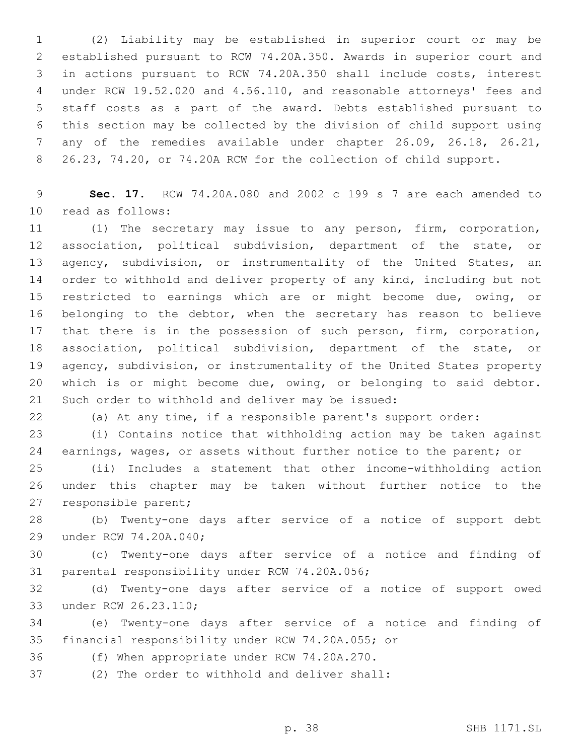(2) Liability may be established in superior court or may be established pursuant to RCW 74.20A.350. Awards in superior court and in actions pursuant to RCW 74.20A.350 shall include costs, interest under RCW 19.52.020 and 4.56.110, and reasonable attorneys' fees and staff costs as a part of the award. Debts established pursuant to this section may be collected by the division of child support using any of the remedies available under chapter 26.09, 26.18, 26.21, 26.23, 74.20, or 74.20A RCW for the collection of child support.

 **Sec. 17.** RCW 74.20A.080 and 2002 c 199 s 7 are each amended to read as follows:10

 (1) The secretary may issue to any person, firm, corporation, association, political subdivision, department of the state, or 13 agency, subdivision, or instrumentality of the United States, an order to withhold and deliver property of any kind, including but not restricted to earnings which are or might become due, owing, or belonging to the debtor, when the secretary has reason to believe that there is in the possession of such person, firm, corporation, association, political subdivision, department of the state, or 19 agency, subdivision, or instrumentality of the United States property which is or might become due, owing, or belonging to said debtor. 21 Such order to withhold and deliver may be issued:

(a) At any time, if a responsible parent's support order:

 (i) Contains notice that withholding action may be taken against earnings, wages, or assets without further notice to the parent; or

 (ii) Includes a statement that other income-withholding action under this chapter may be taken without further notice to the 27 responsible parent;

 (b) Twenty-one days after service of a notice of support debt 29 under RCW 74.20A.040;

 (c) Twenty-one days after service of a notice and finding of 31 parental responsibility under RCW 74.20A.056;

 (d) Twenty-one days after service of a notice of support owed 33 under RCW 26.23.110;

 (e) Twenty-one days after service of a notice and finding of 35 financial responsibility under RCW 74.20A.055; or

36 (f) When appropriate under RCW 74.20A.270.

37 (2) The order to withhold and deliver shall: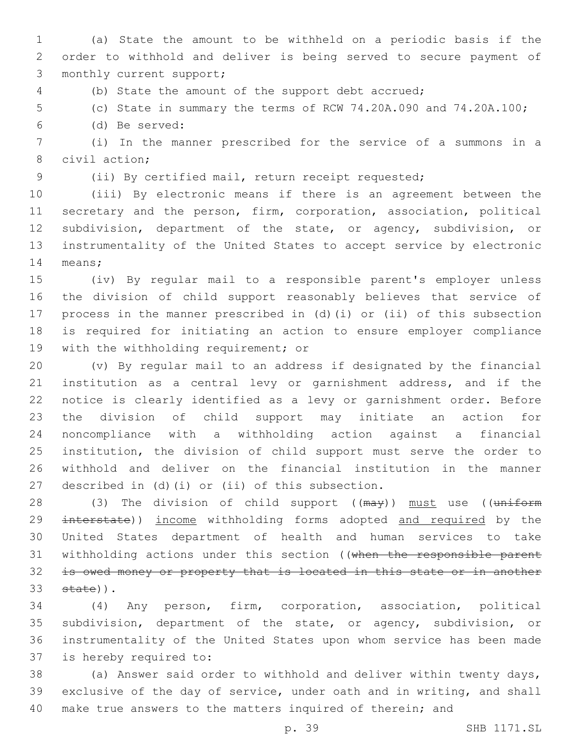(a) State the amount to be withheld on a periodic basis if the order to withhold and deliver is being served to secure payment of 3 monthly current support;

(b) State the amount of the support debt accrued;

(c) State in summary the terms of RCW 74.20A.090 and 74.20A.100;

(d) Be served:6

 (i) In the manner prescribed for the service of a summons in a 8 civil action;

(ii) By certified mail, return receipt requested;

 (iii) By electronic means if there is an agreement between the secretary and the person, firm, corporation, association, political subdivision, department of the state, or agency, subdivision, or instrumentality of the United States to accept service by electronic 14 means;

 (iv) By regular mail to a responsible parent's employer unless the division of child support reasonably believes that service of process in the manner prescribed in (d)(i) or (ii) of this subsection is required for initiating an action to ensure employer compliance 19 with the withholding requirement; or

 (v) By regular mail to an address if designated by the financial institution as a central levy or garnishment address, and if the notice is clearly identified as a levy or garnishment order. Before the division of child support may initiate an action for noncompliance with a withholding action against a financial institution, the division of child support must serve the order to withhold and deliver on the financial institution in the manner 27 described in (d)(i) or (ii) of this subsection.

28 (3) The division of child support ((may)) must use ((uniform 29 interstate)) income withholding forms adopted and required by the United States department of health and human services to take 31 withholding actions under this section ((when the responsible parent 32 is owed money or property that is located in this state or in another  $state)$ ).

 (4) Any person, firm, corporation, association, political subdivision, department of the state, or agency, subdivision, or instrumentality of the United States upon whom service has been made 37 is hereby required to:

 (a) Answer said order to withhold and deliver within twenty days, exclusive of the day of service, under oath and in writing, and shall make true answers to the matters inquired of therein; and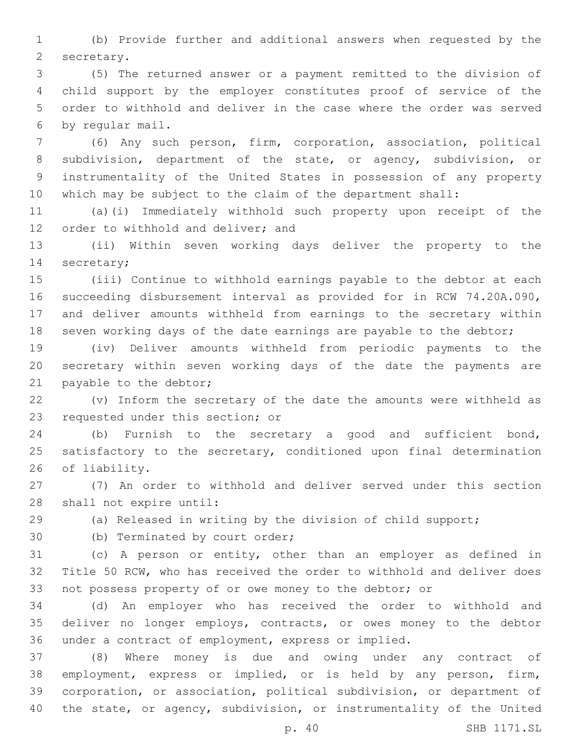(b) Provide further and additional answers when requested by the 2 secretary.

 (5) The returned answer or a payment remitted to the division of child support by the employer constitutes proof of service of the order to withhold and deliver in the case where the order was served 6 by regular mail.

 (6) Any such person, firm, corporation, association, political subdivision, department of the state, or agency, subdivision, or instrumentality of the United States in possession of any property which may be subject to the claim of the department shall:

 (a)(i) Immediately withhold such property upon receipt of the 12 order to withhold and deliver; and

 (ii) Within seven working days deliver the property to the 14 secretary;

 (iii) Continue to withhold earnings payable to the debtor at each succeeding disbursement interval as provided for in RCW 74.20A.090, and deliver amounts withheld from earnings to the secretary within seven working days of the date earnings are payable to the debtor;

 (iv) Deliver amounts withheld from periodic payments to the secretary within seven working days of the date the payments are 21 payable to the debtor;

 (v) Inform the secretary of the date the amounts were withheld as 23 requested under this section; or

 (b) Furnish to the secretary a good and sufficient bond, satisfactory to the secretary, conditioned upon final determination 26 of liability.

 (7) An order to withhold and deliver served under this section 28 shall not expire until:

(a) Released in writing by the division of child support;

30 (b) Terminated by court order;

 (c) A person or entity, other than an employer as defined in Title 50 RCW, who has received the order to withhold and deliver does not possess property of or owe money to the debtor; or

 (d) An employer who has received the order to withhold and deliver no longer employs, contracts, or owes money to the debtor under a contract of employment, express or implied.

 (8) Where money is due and owing under any contract of employment, express or implied, or is held by any person, firm, corporation, or association, political subdivision, or department of the state, or agency, subdivision, or instrumentality of the United

p. 40 SHB 1171.SL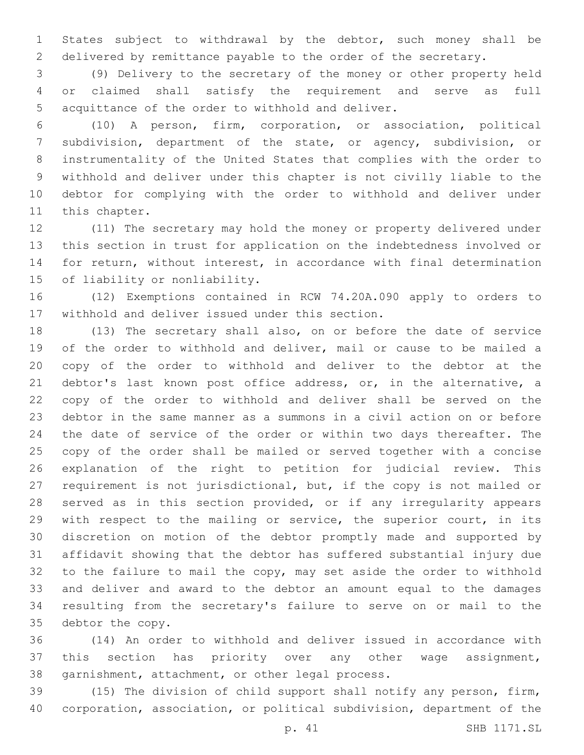States subject to withdrawal by the debtor, such money shall be delivered by remittance payable to the order of the secretary.

 (9) Delivery to the secretary of the money or other property held or claimed shall satisfy the requirement and serve as full 5 acquittance of the order to withhold and deliver.

 (10) A person, firm, corporation, or association, political subdivision, department of the state, or agency, subdivision, or instrumentality of the United States that complies with the order to withhold and deliver under this chapter is not civilly liable to the debtor for complying with the order to withhold and deliver under 11 this chapter.

 (11) The secretary may hold the money or property delivered under this section in trust for application on the indebtedness involved or for return, without interest, in accordance with final determination 15 of liability or nonliability.

 (12) Exemptions contained in RCW 74.20A.090 apply to orders to 17 withhold and deliver issued under this section.

 (13) The secretary shall also, on or before the date of service of the order to withhold and deliver, mail or cause to be mailed a copy of the order to withhold and deliver to the debtor at the 21 debtor's last known post office address, or, in the alternative, a copy of the order to withhold and deliver shall be served on the debtor in the same manner as a summons in a civil action on or before the date of service of the order or within two days thereafter. The copy of the order shall be mailed or served together with a concise explanation of the right to petition for judicial review. This requirement is not jurisdictional, but, if the copy is not mailed or served as in this section provided, or if any irregularity appears with respect to the mailing or service, the superior court, in its discretion on motion of the debtor promptly made and supported by affidavit showing that the debtor has suffered substantial injury due to the failure to mail the copy, may set aside the order to withhold and deliver and award to the debtor an amount equal to the damages resulting from the secretary's failure to serve on or mail to the 35 debtor the copy.

 (14) An order to withhold and deliver issued in accordance with this section has priority over any other wage assignment, 38 garnishment, attachment, or other legal process.

 (15) The division of child support shall notify any person, firm, corporation, association, or political subdivision, department of the

p. 41 SHB 1171.SL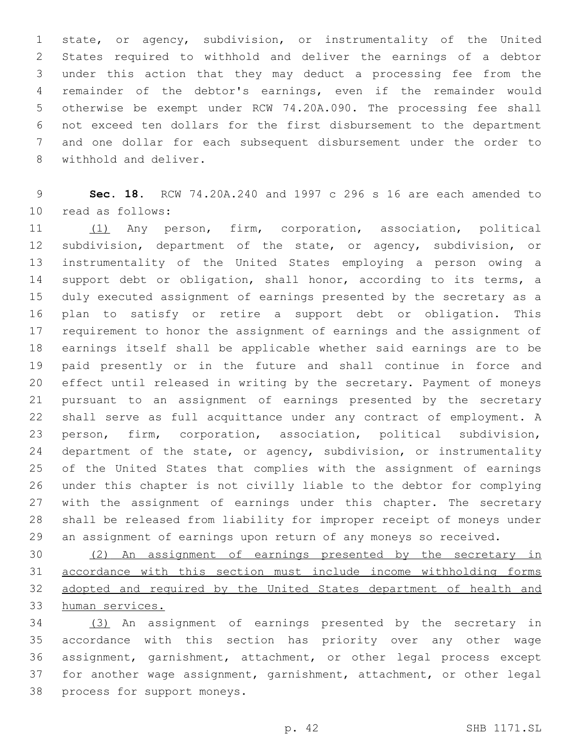state, or agency, subdivision, or instrumentality of the United States required to withhold and deliver the earnings of a debtor under this action that they may deduct a processing fee from the remainder of the debtor's earnings, even if the remainder would otherwise be exempt under RCW 74.20A.090. The processing fee shall not exceed ten dollars for the first disbursement to the department and one dollar for each subsequent disbursement under the order to 8 withhold and deliver.

 **Sec. 18.** RCW 74.20A.240 and 1997 c 296 s 16 are each amended to 10 read as follows:

 (1) Any person, firm, corporation, association, political subdivision, department of the state, or agency, subdivision, or instrumentality of the United States employing a person owing a 14 support debt or obligation, shall honor, according to its terms, a duly executed assignment of earnings presented by the secretary as a plan to satisfy or retire a support debt or obligation. This requirement to honor the assignment of earnings and the assignment of earnings itself shall be applicable whether said earnings are to be paid presently or in the future and shall continue in force and effect until released in writing by the secretary. Payment of moneys pursuant to an assignment of earnings presented by the secretary shall serve as full acquittance under any contract of employment. A person, firm, corporation, association, political subdivision, 24 department of the state, or agency, subdivision, or instrumentality of the United States that complies with the assignment of earnings under this chapter is not civilly liable to the debtor for complying with the assignment of earnings under this chapter. The secretary shall be released from liability for improper receipt of moneys under an assignment of earnings upon return of any moneys so received.

 (2) An assignment of earnings presented by the secretary in accordance with this section must include income withholding forms adopted and required by the United States department of health and human services.

 (3) An assignment of earnings presented by the secretary in accordance with this section has priority over any other wage assignment, garnishment, attachment, or other legal process except for another wage assignment, garnishment, attachment, or other legal 38 process for support moneys.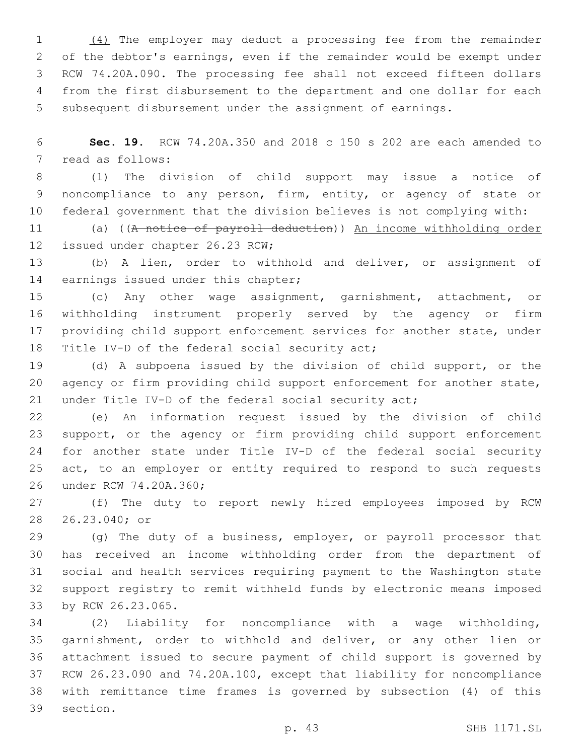(4) The employer may deduct a processing fee from the remainder of the debtor's earnings, even if the remainder would be exempt under RCW 74.20A.090. The processing fee shall not exceed fifteen dollars from the first disbursement to the department and one dollar for each subsequent disbursement under the assignment of earnings.

 **Sec. 19.** RCW 74.20A.350 and 2018 c 150 s 202 are each amended to 7 read as follows:

 (1) The division of child support may issue a notice of noncompliance to any person, firm, entity, or agency of state or federal government that the division believes is not complying with:

 (a) ((A notice of payroll deduction)) An income withholding order 12 issued under chapter 26.23 RCW;

 (b) A lien, order to withhold and deliver, or assignment of 14 earnings issued under this chapter;

 (c) Any other wage assignment, garnishment, attachment, or withholding instrument properly served by the agency or firm 17 providing child support enforcement services for another state, under 18 Title IV-D of the federal social security act;

 (d) A subpoena issued by the division of child support, or the 20 agency or firm providing child support enforcement for another state, under Title IV-D of the federal social security act;

 (e) An information request issued by the division of child support, or the agency or firm providing child support enforcement for another state under Title IV-D of the federal social security act, to an employer or entity required to respond to such requests 26 under RCW 74.20A.360;

 (f) The duty to report newly hired employees imposed by RCW 28 26.23.040; or

 (g) The duty of a business, employer, or payroll processor that has received an income withholding order from the department of social and health services requiring payment to the Washington state support registry to remit withheld funds by electronic means imposed 33 by RCW 26.23.065.

 (2) Liability for noncompliance with a wage withholding, garnishment, order to withhold and deliver, or any other lien or attachment issued to secure payment of child support is governed by RCW 26.23.090 and 74.20A.100, except that liability for noncompliance with remittance time frames is governed by subsection (4) of this 39 section.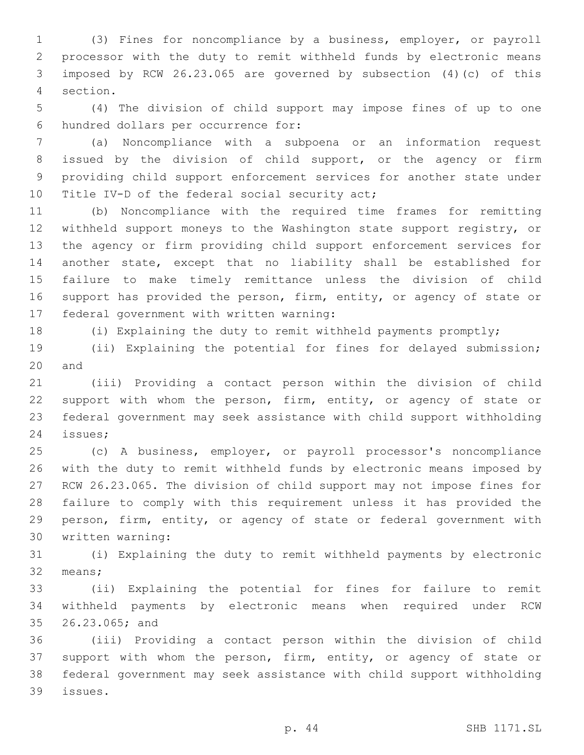(3) Fines for noncompliance by a business, employer, or payroll processor with the duty to remit withheld funds by electronic means imposed by RCW 26.23.065 are governed by subsection (4)(c) of this section.4

 (4) The division of child support may impose fines of up to one hundred dollars per occurrence for:6

 (a) Noncompliance with a subpoena or an information request issued by the division of child support, or the agency or firm providing child support enforcement services for another state under 10 Title IV-D of the federal social security act;

 (b) Noncompliance with the required time frames for remitting withheld support moneys to the Washington state support registry, or the agency or firm providing child support enforcement services for another state, except that no liability shall be established for failure to make timely remittance unless the division of child 16 support has provided the person, firm, entity, or agency of state or 17 federal government with written warning:

(i) Explaining the duty to remit withheld payments promptly;

 (ii) Explaining the potential for fines for delayed submission; 20 and

 (iii) Providing a contact person within the division of child 22 support with whom the person, firm, entity, or agency of state or federal government may seek assistance with child support withholding 24 issues;

 (c) A business, employer, or payroll processor's noncompliance with the duty to remit withheld funds by electronic means imposed by RCW 26.23.065. The division of child support may not impose fines for failure to comply with this requirement unless it has provided the person, firm, entity, or agency of state or federal government with 30 written warning:

 (i) Explaining the duty to remit withheld payments by electronic 32 means;

 (ii) Explaining the potential for fines for failure to remit withheld payments by electronic means when required under RCW 26.23.065; and35

 (iii) Providing a contact person within the division of child support with whom the person, firm, entity, or agency of state or federal government may seek assistance with child support withholding issues.39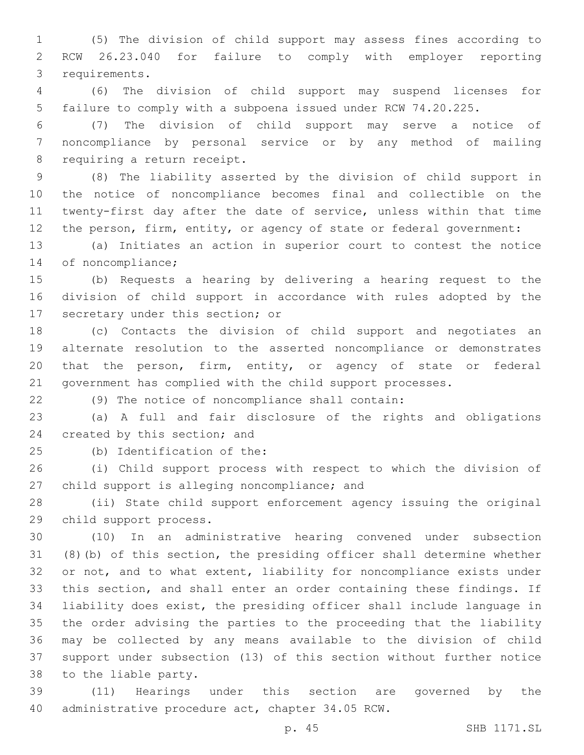(5) The division of child support may assess fines according to RCW 26.23.040 for failure to comply with employer reporting 3 requirements.

 (6) The division of child support may suspend licenses for failure to comply with a subpoena issued under RCW 74.20.225.

 (7) The division of child support may serve a notice of noncompliance by personal service or by any method of mailing 8 requiring a return receipt.

 (8) The liability asserted by the division of child support in the notice of noncompliance becomes final and collectible on the twenty-first day after the date of service, unless within that time the person, firm, entity, or agency of state or federal government:

 (a) Initiates an action in superior court to contest the notice 14 of noncompliance;

 (b) Requests a hearing by delivering a hearing request to the division of child support in accordance with rules adopted by the 17 secretary under this section; or

 (c) Contacts the division of child support and negotiates an alternate resolution to the asserted noncompliance or demonstrates that the person, firm, entity, or agency of state or federal government has complied with the child support processes.

(9) The notice of noncompliance shall contain:

 (a) A full and fair disclosure of the rights and obligations 24 created by this section; and

25 (b) Identification of the:

 (i) Child support process with respect to which the division of 27 child support is alleging noncompliance; and

 (ii) State child support enforcement agency issuing the original 29 child support process.

 (10) In an administrative hearing convened under subsection (8)(b) of this section, the presiding officer shall determine whether or not, and to what extent, liability for noncompliance exists under this section, and shall enter an order containing these findings. If liability does exist, the presiding officer shall include language in the order advising the parties to the proceeding that the liability may be collected by any means available to the division of child support under subsection (13) of this section without further notice 38 to the liable party.

 (11) Hearings under this section are governed by the 40 administrative procedure act, chapter 34.05 RCW.